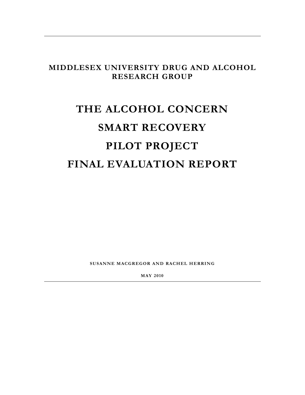# **MIDDLESEX UNIVERSITY DRUG AND ALCOHOL RESEARCH GROUP**

# **THE ALCOHOL CONCERN SMART RECOVERY PILOT PROJECT FINAL EVALUATION REPORT**

**SUSANNE MACGREGOR AND RACHEL HERRING**

**MAY 2010**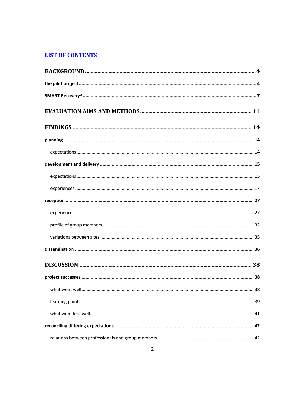# **LIST OF CONTENTS**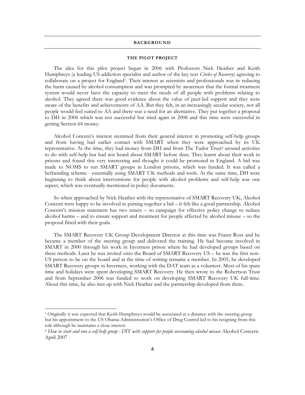#### <span id="page-3-0"></span>**BACKGROUND**

#### **THE PILOT PROJECT**

<span id="page-3-1"></span>The idea for this pilot project began in 2006 with Professors Nick Heather and Keith Humphreys (a leading US addiction specialist and author of the key text *Circles of Recovery)* agreeing to collaborate on a project for England<sup>1</sup>. Their interest as scientists and professionals was in reducing the harm caused by alcohol consumption and was prompted by awareness that the formal treatment system would never have the capacity to meet the needs of all people with problems relating to alcohol. They agreed there was good evidence about the value of peer-led support and they were aware of the benefits and achievements of AA. But they felt, in an increasingly secular society, not all people would feel suited to AA and there was a need for an alternative. They put together a proposal to DH in 2006 which was not successful but tried again in 2008 and this time were successful in getting Section 64 money.

Alcohol Concern"s interest stemmed from their general interest in promoting self-help groups and from having had earlier contact with SMART when they were approached by its UK representative. At the time, they had money from DH and from The Tudor Trust<sup>2</sup> around activities to do with self-help but had not heard about SMART before then. They learnt about their work in prisons and found this very interesting and thought it could be promoted in England. A bid was made to NOMS to run SMART groups in London prisons, which was funded. It was called a befriending scheme - essentially using SMART UK methods and tools. At the same time, DH were beginning to think about interventions for people with alcohol problems and self-help was one aspect, which was eventually mentioned in policy documents.

So when approached by Nick Heather with the representative of SMART Recovery UK, Alcohol Concern were happy to be involved in putting together a bid – it felt like a good partnership. Alcohol Concern's mission statement has two tenets – to campaign for effective policy change to reduce alcohol harms – and to ensure support and treatment for people affected by alcohol misuse – so the proposal fitted with their goals.

The SMART Recovery UK Group Development Director at this time was Fraser Ross and he became a member of the steering group and delivered the training. He had become involved in SMART in 2000 through his work in Inverness prison where he had developed groups based on these methods. Later he was invited onto the Board of SMART Recovery US – he was the first non-US person to be on the board and at the time of writing remains a member. In 2005, he developed SMART Recovery groups in Inverness, working with the DAT team as a volunteer. Most of his spare time and holidays were spent developing SMART Recovery. He then wrote to the Robertson Trust and from September 2006 was funded to work on developing SMART Recovery UK full-time. About this time, he also met up with Nick Heather and the partnership developed from there.

 $\ddot{\phantom{a}}$ 

<sup>1</sup> Originally it was expected that Keith Humphreys would be associated at a distance with the steering group but his appointment to the US Obama Administration"s Office of Drug Control led to his resigning from this role although he maintains a close interest

<sup>2</sup> *How to start and run a self-help group : DIY with support for people overcoming alcohol misuse* Alcohol Concern April 2007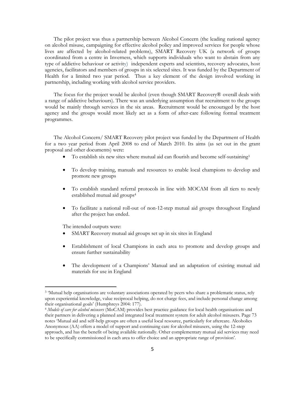The pilot project was thus a partnership between Alcohol Concern (the leading national agency on alcohol misuse, campaigning for effective alcohol policy and improved services for people whose lives are affected by alcohol-related problems), SMART Recovery UK (a network of groups coordinated from a centre in Inverness, which supports individuals who want to abstain from any type of addictive behaviour or activity) independent experts and scientists, recovery advocates, host agencies, facilitators and members of groups in six selected sites. It was funded by the Department of Health for a limited two year period. Thus a key element of the design involved working in partnership, including working with alcohol service providers.

The focus for the project would be alcohol (even though SMART Recovery® overall deals with a range of addictive behaviours). There was an underlying assumption that recruitment to the groups would be mainly through services in the six areas. Recruitment would be encouraged by the host agency and the groups would most likely act as a form of after-care following formal treatment programmes.

The Alcohol Concern/ SMART Recovery pilot project was funded by the Department of Health for a two year period from April 2008 to end of March 2010. Its aims (as set out in the grant proposal and other documents) were:

- To establish six new sites where mutual aid can flourish and become self-sustaining<sup>3</sup>
- To develop training, manuals and resources to enable local champions to develop and promote new groups
- To establish standard referral protocols in line with MOCAM from all tiers to newly established mutual aid groups<sup>4</sup>
- To facilitate a national roll-out of non-12-step mutual aid groups throughout England after the project has ended.

The intended outputs were:

 $\overline{a}$ 

- SMART Recovery mutual aid groups set up in six sites in England
- Establishment of local Champions in each area to promote and develop groups and ensure further sustainability
- The development of a Champions' Manual and an adaptation of existing mutual aid materials for use in England

<sup>3</sup> "Mutual help organisations are voluntary associations operated by peers who share a problematic status, rely upon experiential knowledge, value reciprocal helping, do not charge fees, and include personal change among their organisational goals" (Humphreys 2004: 177).

<sup>4</sup> *Models of care for alcohol misusers* (MoCAM) provides best practice guidance for local health organisations and their partners in delivering a planned and integrated local treatment system for adult alcohol misusers. Page 73 notes "Mutual aid and self-help groups are often a useful local resource, particularly for aftercare. Alcoholics Anonymous (AA) offers a model of support and continuing care for alcohol misusers, using the 12-step approach, and has the benefit of being available nationally. Other complementary mutual aid services may need to be specifically commissioned in each area to offer choice and an appropriate range of provision".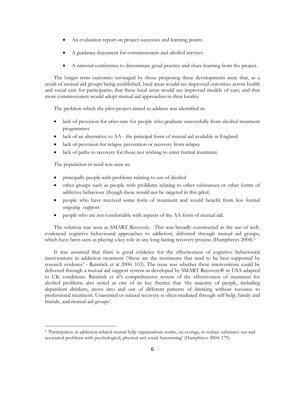- An evaluation report on project successes and learning points
- A guidance document for commissioners and alcohol services
- A national conference to disseminate good practice and share learning from the project.

The longer term outcomes envisaged by those proposing these developments were that, as a result of mutual aid groups being established, local areas would see improved outcomes across health and social care for participants; that these local areas would see improved models of care; and that more commissioners would adopt mutual aid approaches in their locality.

The problem which the pilot project aimed to address was identified as:

- lack of provision for after-care for people who graduate successfully from alcohol treatment programmes
- lack of an alternative to AA the principal form of mutual aid available in England
- lack of provision for relapse prevention or recovery from relapse
- lack of paths to recovery for those not wishing to enter formal treatment.

The population in need was seen as:

 $\ddot{\phantom{a}}$ 

- principally people with problems relating to use of alcohol
- other groups such as people with problems relating to other substances or other forms of addictive behaviour (though these would not be targeted in this pilot)
- people who have received some form of treatment and would benefit from less formal ongoing support
- people who are not comfortable with aspects of the AA form of mutual aid.

The solution was seen as SMART Recovery. This was broadly constructed as the use of wellevidenced cognitive behavioural approaches to addiction, delivered through mutual aid groups, which have been seen as playing a key role in any long lasting recovery process (Humphreys 2004). 5

It was assumed that there is good evidence for the effectiveness of cognitive behavioural interventions in addiction treatment ("these are the treatments that tend to be best supported by research evidence" - Raistrick et al 2006: 103). The issue was whether these interventions could be delivered through a mutual aid support system as developed by SMART Recovery® in USA adapted to UK conditions. Raistrick et al"s comprehensive review of the effectiveness of treatment for alcohol problems also noted as one of its key themes that "the majority of people, including dependent drinkers, move into and out of different patterns of drinking without recourse to professional treatment. Unassisted or natural recovery is often mediated through self-help, family and friends, and mutual aid groups'.

<sup>5</sup> "Participation in addiction-related mutual help organizations seems, on average, to reduce substance use and associated problems with psychological, physical and social functioning' (Humphreys 2004: 179).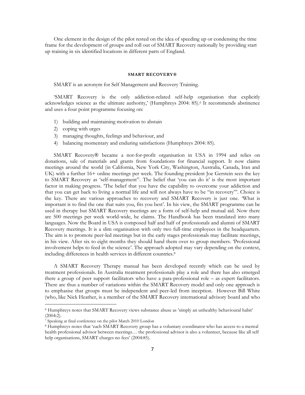<span id="page-6-0"></span>One element in the design of the pilot rested on the idea of speeding up or condensing the time frame for the development of groups and roll out of SMART Recovery nationally by providing start up training in six identified locations in different parts of England.

#### **SMART RECOVERY®**

SMART is an acronym for Self Management and Recovery Training.

"SMART Recovery is the only addiction-related self-help organisation that explicitly acknowledges science as the ultimate authority,' (Humphreys 2004: 85).<sup>6</sup> It recommends abstinence and uses a four point programme focusing on:

- 1) building and maintaining motivation to abstain
- 2) coping with urges
- 3) managing thoughts, feelings and behaviour, and
- 4) balancing momentary and enduring satisfactions (Humphreys 2004: 85).

SMART Recovery® became a not-for-profit organisation in USA in 1994 and relies on donations, sale of materials and grants from foundations for financial support. It now claims meetings around the world (in California, New York City, Washington, Australia, Canada, Iran and UK) with a further 16+ online meetings per week. The founding president Joe Gerstein sees the key to SMART Recovery as 'self-management<sup>7</sup>. The belief that 'you can do it' is the most important factor in making progress. "The belief that you have the capability to overcome your addiction and that you can get back to living a normal life and will not always have to be "in recovery"". Choice is the key. There are various approaches to recovery and SMART Recovery is just one. "What is important is to find the one that suits you, fits you best". In his view, the SMART programme can be used in therapy but SMART Recovery meetings are a form of self-help and mutual aid. Now there are 500 meetings per week world-wide, he claims. The Handbook has been translated into many languages. Now the Board in USA is composed half and half of professionals and alumni of SMART Recovery meetings. It is a slim organisation with only two full-time employees in the headquarters. The aim is to promote peer-led meetings but in the early stages professionals may facilitate meetings, in his view. After six to eight months they should hand them over to group members. "Professional involvement helps to feed in the science". The approach adopted may vary depending on the context, including differences in health services in different countries.<sup>8</sup>

A SMART Recovery Therapy manual has been developed recently which can be used by treatment professionals. In Australia treatment professionals play a role and there has also emerged there a group of peer support facilitators who have a para-professional role – as expert facilitators. There are thus a number of variations within the SMART Recovery model and only one approach is to emphasise that groups must be independent and peer-led from inception. However Bill White (who, like Nick Heather, is a member of the SMART Recovery international advisory board and who

 $\ddot{\phantom{a}}$ 

<sup>6</sup> Humphreys notes that SMART Recovery views substance abuse as "simply an unhealthy behavioural habit" (2004:2).

<sup>7</sup> Speaking at final conference on the pilot March 2010 London

<sup>8</sup> Humphreys notes that "each SMART Recovery group has a voluntary coordinator who has access to a mental health professional advisor between meetings… the professional advisor is also a volunteer, because like all self help organisations, SMART charges no fees' (2004:85).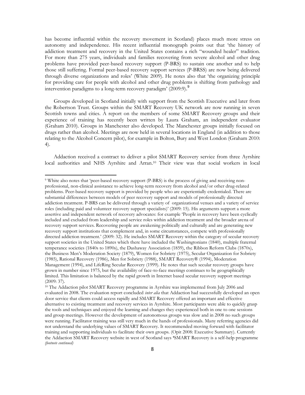has become influential within the recovery movement in Scotland) places much more stress on autonomy and independence. His recent influential monograph points out that "the history of addiction treatment and recovery in the United States contains a rich "wounded healer" tradition. For more than 275 years, individuals and families recovering from severe alcohol and other drug problems have provided peer-based recovery support (P-BRS) to sustain one another and to help those still suffering. Formal peer-based recovery support services (P-BRSS) are now being delivered through diverse organizations and roles" (White 2009). He notes also that "the organizing principle for providing care for people with alcohol and other drug problems is shifting from pathology and intervention paradigms to a long-term recovery paradigm'  $(2009.9)$ .

Groups developed in Scotland initially with support from the Scottish Executive and later from the Robertson Trust. Groups within the SMART Recovery UK network are now running in seven Scottish towns and cities. A report on the members of some SMART Recovery groups and their experience of training has recently been written by Laura Graham, an independent evaluator (Graham 2010). Groups in Manchester also developed. The Manchester groups initially focused on drugs rather than alcohol. Meetings are now held in several locations in England (in addition to those relating to the Alcohol Concern pilot), for example in Bolton, Bury and West London (Graham 2010: 4).

Addaction received a contract to deliver a pilot SMART Recovery service from three Ayrshire local authorities and NHS Ayrshire and Arran. <sup>10</sup> Their view was that social workers in local

 $\ddot{\phantom{a}}$ 

<sup>9</sup> White also notes that "peer-based recovery support (P-BRS) is the process of giving and receiving nonprofessional, non-clinical assistance to achieve long-term recovery from alcohol and/or other drug-related problems. Peer-based recovery support is provided by people who are experientially credentialed. There are substantial differences between models of peer recovery support and models of professionally directed addiction treatment. P-BRS can be delivered through a variety of organizational venues and a variety of service roles (including paid and volunteer recovery support specialists)" (2009: 15). His arguments support a more assertive and independent network of recovery advocates: for example "People in recovery have been cyclically included and excluded from leadership and service roles within addiction treatment and the broader arena of recovery support services. Recovering people are awakening politically and culturally and are generating new recovery support institutions that complement and, in some circumstances, compete with professionally directed addiction treatment.' (2009: 32). He includes SMART Recovery within the category of secular recovery support societies in the United States which there have included the Washingtonians (1840), multiple fraternal temperance societies (1840s to 1890s), the Dashaway Association (1859), the Ribbon Reform Clubs (1870s), the Business Men"s Moderation Society (1879), Women for Sobriety (1975), Secular Organization for Sobriety (1985), Rational Recovery (1986), Men for Sobriety (1988), SMART Recovery® (1994), Moderation Management (1994), and LifeRing Secular Recovery (1999). He notes that such secular recovery groups have grown in number since 1975, but the availability of face-to-face meetings continues to be geographically limited. This limitation is balanced by the rapid growth in Internet based secular recovery support meetings (2009: 37).

<sup>&</sup>lt;sup>10</sup> The Addaction pilot SMART Recovery programme in Ayrshire was implemented from July 2006 and evaluated in 2008. The evaluation report concluded *inter alia* that Addaction had successfully developed an open door service that clients could access rapidly and SMART Recovery offered an important and effective alternative to existing treatment and recovery services in Ayrshire. Most participants were able to quickly grasp the tools and techniques and enjoyed the learning and changes they experienced both in one to one sessions and group meetings. However the development of autonomous groups was slow and in 2008 no such groups were running. Facilitator training was still very much in the hands of professionals. Many referring agencies did not understand the underlying values of SMART Recovery. It recommended moving forward with facilitator training and supporting individuals to facilitate their own groups. (Opit 2008: Executive Summary). Currently the Addaction SMART Recovery website in west of Scotland says **'**SMART Recovery is a self-help programme *(footnote continued)*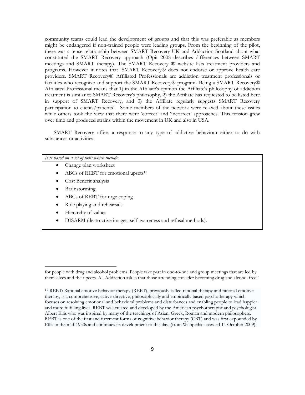community teams could lead the development of groups and that this was preferable as members might be endangered if non-trained people were leading groups. From the beginning of the pilot, there was a tense relationship between SMART Recovery UK and Addaction Scotland about what constituted the SMART Recovery approach (Opit 2008 describes differences between SMART meetings and SMART therapy). The SMART Recovery ® website lists treatment providers and programs. However it notes that "SMART Recovery® does not endorse or approve health care providers. SMART Recovery® Affiliated Professionals are addiction treatment professionals or facilities who recognize and support the SMART Recovery<sup>®</sup> program. Being a SMART Recovery<sup>®</sup> Affiliated Professional means that 1) in the Affiliate's opinion the Affiliate's philosophy of addiction treatment is similar to SMART Recovery's philosophy, 2) the Affiliate has requested to be listed here in support of SMART Recovery, and 3) the Affiliate regularly suggests SMART Recovery participation to clients/patients". Some members of the network were relaxed about these issues while others took the view that there were 'correct' and 'incorrect' approaches. This tension grew over time and produced strains within the movement in UK and also in USA.

SMART Recovery offers a response to any type of addictive behaviour either to do with substances or activities.

| It is based on a set of tools which include:                          |
|-----------------------------------------------------------------------|
| Change plan worksheet                                                 |
| ABCs of REBT for emotional upsets <sup>11</sup><br>$\bullet$          |
| Cost Benefit analysis<br>$\bullet$                                    |
| Brainstorming                                                         |
| ABCs of REBT for urge coping                                          |
| Role playing and rehearsals                                           |
| Hierarchy of values                                                   |
| DISARM (destructive images, self awareness and refusal methods).<br>٠ |
|                                                                       |

 $\overline{a}$ 

for people with drug and alcohol problems. People take part in one-to-one and group meetings that are led by themselves and their peers. All Addaction ask is that those attending consider becoming drug and alcohol free."

<sup>11</sup> REBT: Rational emotive behavior therapy (REBT), previously called rational therapy and rational emotive therapy, is a comprehensive, active-directive, [philosophically](http://en.wikipedia.org/wiki/Philosophy) and [empirically](http://en.wikipedia.org/wiki/Empirical) based [psychotherapy](http://en.wikipedia.org/wiki/Psychotherapy) which focuses on resolvin[g emotional](http://en.wikipedia.org/wiki/Emotion) an[d behavioral](http://en.wikipedia.org/wiki/Behavior) problems and disturbances and enabling people to lead happier and more fulfilling lives. REBT was created and developed by the [American](http://en.wikipedia.org/wiki/United_States) [psychotherapist](http://en.wikipedia.org/wiki/Psychotherapist) and [psychologist](http://en.wikipedia.org/wiki/Psychologist) [Albert Ellis](http://en.wikipedia.org/wiki/Albert_Ellis) who was inspired by many of the teachings of [Asian,](http://en.wikipedia.org/wiki/Asia) [Greek,](http://en.wikipedia.org/wiki/Ancient_Greek) [Roman](http://en.wikipedia.org/wiki/Ancient_Rome) and modern philosophers. REBT is one of the first and foremost forms of [cognitive behavior therapy](http://en.wikipedia.org/wiki/Cognitive_behavioral_therapy) [\(CBT\)](http://en.wikipedia.org/wiki/CBT) and was first expounded by Ellis in the mid-1950s and continues its development to this day, (from Wikipedia accessed 14 October 2009).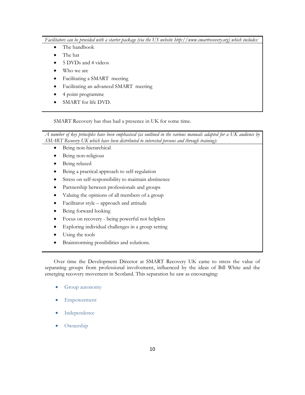*Facilitators can be provided with a starter package (via the US website http://www.smartrecovery.org) which includes:*

- The handbook
- The hat
- 5 DVDs and 4 videos
- Who we are
- Facilitating a SMART meeting
- Facilitating an advanced SMART meeting
- 4 point programme
- SMART for life DVD.

SMART Recovery has thus had a presence in UK for some time.

*A number of key principles have been emphasised (as outlined in the various manuals adapted for a UK audience by SMART Recovery UK which have been distributed to interested persons and through training):* 

- Being non-hierarchical
- Being non-religious
- Being relaxed
- Being a practical approach to self-regulation
- Stress on self-responsibility to maintain abstinence
- Partnership between professionals and groups
- Valuing the opinions of all members of a group
- Facilitator style approach and attitude
- Being forward looking
- Focus on recovery being powerful not helpless
- Exploring individual challenges in a group setting
- Using the tools
- Brainstorming possibilities and solutions.

Over time the Development Director at SMART Recovery UK came to stress the value of separating groups from professional involvement, influenced by the ideas of Bill White and the emerging recovery movement in Scotland. This separation he saw as encouraging:

- Group autonomy
- Empowerment
- Independence
- Ownership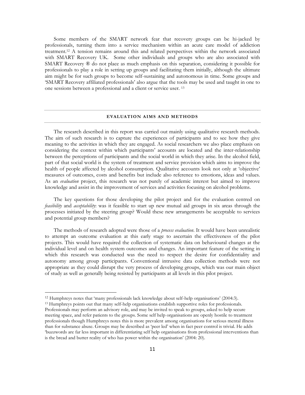Some members of the SMART network fear that recovery groups can be hi-jacked by professionals, turning them into a service mechanism within an acute care model of addiction treatment.<sup>12</sup> A tension remains around this and related perspectives within the network associated with SMART Recovery UK. Some other individuals and groups who are also associated with SMART Recovery ® do not place as much emphasis on this separation, considering it possible for professionals to play a role in setting up groups and facilitating them initially, although the ultimate aim might be for such groups to become self-sustaining and autonomous in time. Some groups and "SMART Recovery affiliated professionals" also argue that the tools may be used and taught in one to one sessions between a professional and a client or service user. <sup>13</sup>

#### **EVALUATION AIMS AND METHODS**

<span id="page-10-0"></span>The research described in this report was carried out mainly using qualitative research methods. The aim of such research is to capture the experiences of participants and to see how they give meaning to the activities in which they are engaged. As social researchers we also place emphasis on considering the context within which participants' accounts are located and the inter-relationship between the perceptions of participants and the social world in which they arise. In the alcohol field, part of that social world is the system of treatment and service provision which aims to improve the health of people affected by alcohol consumption. Qualitative accounts look not only at 'objective' measures of outcomes, costs and benefits but include also reference to emotions, ideas and values. As an *evaluation* project, this research was not purely of academic interest but aimed to improve knowledge and assist in the improvement of services and activities focusing on alcohol problems.

The key questions for those developing the pilot project and for the evaluation centred on *feasibility* and *acceptability*: was it feasible to start up new mutual aid groups in six areas through the processes initiated by the steering group? Would these new arrangements be acceptable to services and potential group members?

The methods of research adopted were those of a *process evaluation*. It would have been unrealistic to attempt an outcome evaluation at this early stage to ascertain the effectiveness of the pilot projects. This would have required the collection of systematic data on behavioural changes at the individual level and on health system outcomes and changes. An important feature of the setting in which this research was conducted was the need to respect the desire for confidentiality and autonomy among group participants. Conventional intrusive data collection methods were not appropriate as they could disrupt the very process of developing groups, which was our main object of study as well as generally being resisted by participants at all levels in this pilot project.

 $\ddot{\phantom{a}}$ 

<sup>12</sup> Humphreys notes that "many professionals lack knowledge about self-help organisations" (2004:3).

<sup>&</sup>lt;sup>13</sup> Humphreys points out that many self-help organisations establish supportive roles for professionals. Professionals may perform an advisory role, and may be invited to speak to groups, asked to help secure meeting space, and refer patients to the groups. Some self help organisations are openly hostile to treatment professionals though Humphreys notes this is more prevalent among organisations for serious mental illness than for substance abuse. Groups may be described as "peer led" when in fact peer control is trivial. He adds "buzzwords are far less important in differentiating self help organisations from professional interventions than is the bread and butter reality of who has power within the organisation" (2004: 20).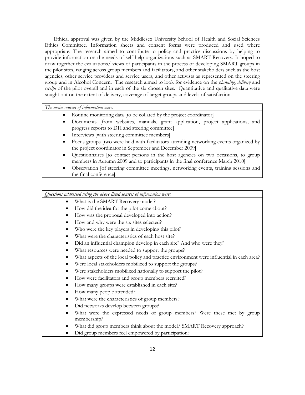Ethical approval was given by the Middlesex University School of Health and Social Sciences Ethics Committee. Information sheets and consent forms were produced and used where appropriate. The research aimed to contribute to policy and practice discussions by helping to provide information on the needs of self-help organizations such as SMART Recovery. It hoped to draw together the evaluations/ views of participants in the process of developing SMART groups in the pilot sites, ranging across group members and facilitators, and other stakeholders such as the host agencies, other service providers and service users, and other activists as represented on the steering group and in Alcohol Concern. The research aimed to look for evidence on the *planning*, *delivery* and *receipt* of the pilot overall and in each of the six chosen sites. Quantitative and qualitative data were sought out on the extent of delivery, coverage of target groups and levels of satisfaction.

# *The main sources of information were:*

- Routine monitoring data [to be collated by the project coordinator]
- Documents [from websites, manuals, grant application, project applications, and progress reports to DH and steering committee]
- Interviews [with steering committee members]
- Focus groups [two were held with facilitators attending networking events organized by the project coordinator in September and December 2009]
- Questionnaires [to contact persons in the host agencies on two occasions, to group members in Autumn 2009 and to participants in the final conference March 2010]
- Observation [of steering committee meetings, networking events, training sessions and the final conference].

*Questions addressed using the above listed sources of information were:*

- What is the SMART Recovery model?
- How did the idea for the pilot come about?
- How was the proposal developed into action?
- How and why were the six sites selected?
- Who were the key players in developing this pilot?
- What were the characteristics of each host site?
- Did an influential champion develop in each site? And who were they?
- What resources were needed to support the groups?
- What aspects of the local policy and practice environment were influential in each area?
- Were local stakeholders mobilized to support the groups?
- Were stakeholders mobilized nationally to support the pilot?
- How were facilitators and group members recruited?
- How many groups were established in each site?
- How many people attended?
- What were the characteristics of group members?
- Did networks develop between groups?
- What were the expressed needs of group members? Were these met by group membership?
- What did group members think about the model/ SMART Recovery approach?
- Did group members feel empowered by participation?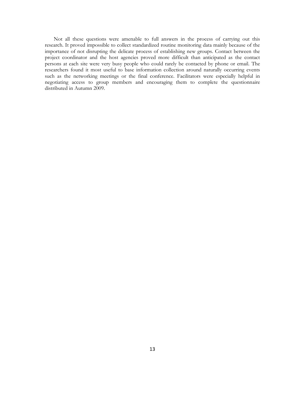Not all these questions were amenable to full answers in the process of carrying out this research. It proved impossible to collect standardized routine monitoring data mainly because of the importance of not disrupting the delicate process of establishing new groups. Contact between the project coordinator and the host agencies proved more difficult than anticipated as the contact persons at each site were very busy people who could rarely be contacted by phone or email. The researchers found it most useful to base information collection around naturally occurring events such as the networking meetings or the final conference. Facilitators were especially helpful in negotiating access to group members and encouraging them to complete the questionnaire distributed in Autumn 2009.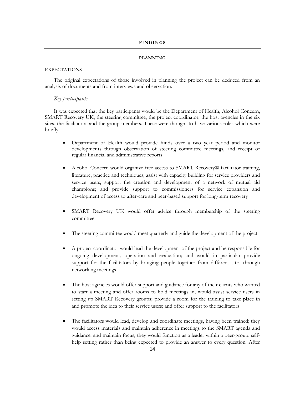# **FINDINGS**

#### **PLANNING**

#### <span id="page-13-2"></span><span id="page-13-1"></span><span id="page-13-0"></span>EXPECTATIONS

The original expectations of those involved in planning the project can be deduced from an analysis of documents and from interviews and observation.

# *Key participants*

It was expected that the key participants would be the Department of Health, Alcohol Concern, SMART Recovery UK, the steering committee, the project coordinator, the host agencies in the six sites, the facilitators and the group members. These were thought to have various roles which were briefly:

- Department of Health would provide funds over a two year period and monitor developments through observation of steering committee meetings, and receipt of regular financial and administrative reports
- Alcohol Concern would organize free access to SMART Recovery® facilitator training, literature, practice and techniques; assist with capacity building for service providers and service users; support the creation and development of a network of mutual aid champions; and provide support to commissioners for service expansion and development of access to after-care and peer-based support for long-term recovery
- SMART Recovery UK would offer advice through membership of the steering committee
- The steering committee would meet quarterly and guide the development of the project
- A project coordinator would lead the development of the project and be responsible for ongoing development, operation and evaluation; and would in particular provide support for the facilitators by bringing people together from different sites through networking meetings
- The host agencies would offer support and guidance for any of their clients who wanted to start a meeting and offer rooms to hold meetings in; would assist service users in setting up SMART Recovery groups; provide a room for the training to take place in and promote the idea to their service users; and offer support to the facilitators
- The facilitators would lead, develop and coordinate meetings, having been trained; they would access materials and maintain adherence in meetings to the SMART agenda and guidance, and maintain focus; they would function as a leader within a peer-group, selfhelp setting rather than being expected to provide an answer to every question. After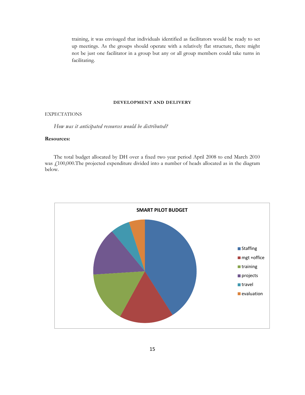training, it was envisaged that individuals identified as facilitators would be ready to set up meetings. As the groups should operate with a relatively flat structure, there might not be just one facilitator in a group but any or all group members could take turns in facilitating.

# **DEVELOPMENT AND DELIVERY**

# <span id="page-14-1"></span><span id="page-14-0"></span>EXPECTATIONS

*How was it anticipated resources would be distributed?* 

# **Resources:**

The total budget allocated by DH over a fixed two year period April 2008 to end March 2010 was £100,000.The projected expenditure divided into a number of heads allocated as in the diagram below.

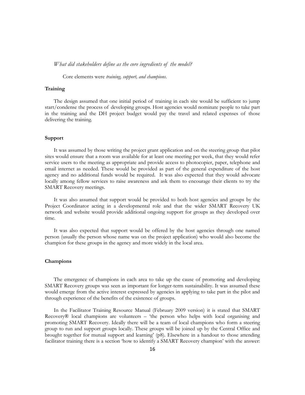*What did stakeholders define as the core ingredients of the model?*

Core elements were *training, support, and champions*.

#### **Training**

The design assumed that one initial period of training in each site would be sufficient to jump start/condense the process of developing groups. Host agencies would nominate people to take part in the training and the DH project budget would pay the travel and related expenses of those delivering the training.

#### **Support**

It was assumed by those writing the project grant application and on the steering group that pilot sites would ensure that a room was available for at least one meeting per week, that they would refer service users to the meeting as appropriate and provide access to photocopier, paper, telephone and email internet as needed. These would be provided as part of the general expenditure of the host agency and no additional funds would be required. It was also expected that they would advocate locally among fellow services to raise awareness and ask them to encourage their clients to try the SMART Recovery meetings.

It was also assumed that support would be provided to both host agencies and groups by the Project Coordinator acting in a developmental role and that the wider SMART Recovery UK network and website would provide additional ongoing support for groups as they developed over time.

It was also expected that support would be offered by the host agencies through one named person (usually the person whose name was on the project application) who would also become the champion for these groups in the agency and more widely in the local area.

# **Champions**

The emergence of champions in each area to take up the cause of promoting and developing SMART Recovery groups was seen as important for longer-term sustainability. It was assumed these would emerge from the active interest expressed by agencies in applying to take part in the pilot and through experience of the benefits of the existence of groups.

In the Facilitator Training Resource Manual (February 2009 version) it is stated that SMART Recovery® local champions are volunteers – "the person who helps with local organising and promoting SMART Recovery. Ideally there will be a team of local champions who form a steering group to run and support groups locally. These groups will be joined up by the Central Office and brought together for mutual support and learning" (p8). Elsewhere in a handout to those attending facilitator training there is a section 'how to identify a SMART Recovery champion' with the answer: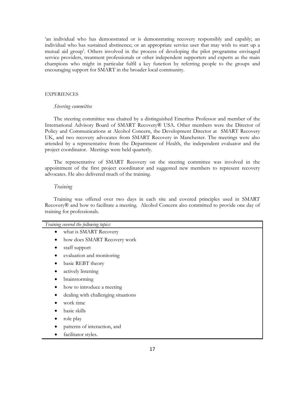"an individual who has demonstrated or is demonstrating recovery responsibly and capably; an individual who has sustained abstinence; or an appropriate service user that may wish to start up a mutual aid group". Others involved in the process of developing the pilot programme envisaged service providers, treatment professionals or other independent supporters and experts as the main champions who might in particular fulfil a key function by referring people to the groups and encouraging support for SMART in the broader local community.

# <span id="page-16-0"></span>**EXPERIENCES**

#### *Steering committee*

The steering committee was chaired by a distinguished Emeritus Professor and member of the International Advisory Board of SMART Recovery® USA. Other members were the Director of Policy and Communications at Alcohol Concern, the Development Director at SMART Recovery UK, and two recovery advocates from SMART Recovery in Manchester. The meetings were also attended by a representative from the Department of Health, the independent evaluator and the project coordinator. Meetings were held quarterly.

The representative of SMART Recovery on the steering committee was involved in the appointment of the first project coordinator and suggested new members to represent recovery advocates. He also delivered much of the training.

#### *Training*

Training was offered over two days in each site and covered principles used in SMART Recovery® and how to facilitate a meeting. Alcohol Concern also committed to provide one day of training for professionals.

| Training covered the following topics: |                                     |  |
|----------------------------------------|-------------------------------------|--|
| what is SMART Recovery<br>٠            |                                     |  |
| $\bullet$                              | how does SMART Recovery work        |  |
| staff support<br>$\bullet$             |                                     |  |
| ٠                                      | evaluation and monitoring           |  |
| basic REBT theory<br>$\bullet$         |                                     |  |
| actively listening<br>$\bullet$        |                                     |  |
| brainstorming                          |                                     |  |
| $\bullet$                              | how to introduce a meeting          |  |
|                                        | dealing with challenging situations |  |
| work time                              |                                     |  |
| basic skills                           |                                     |  |
| role play                              |                                     |  |
|                                        | patterns of interaction, and        |  |
| facilitator styles.                    |                                     |  |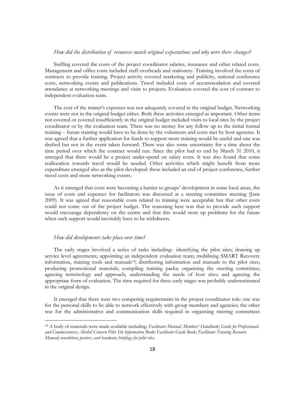# *How did the distribution of resources match original expectations and why were there changes?*

Staffing covered the costs of the project coordinator salaries, insurance and other related costs. Management and office costs included staff overheads and stationery. Training involved the costs of contracts to provide training. Project activity covered marketing and publicity, national conference costs, networking events and publications. Travel included costs of accommodation and covered attendance at networking meetings and visits to projects. Evaluation covered the cost of contract to independent evaluation team.

The cost of the trainer"s expenses was not adequately covered in the original budget. Networking events were not in the original budget either. Both these activities emerged as important. Other items not covered or covered insufficiently in the original budget included visits to local sites by the project coordinator or by the evaluation team. There was no money for any follow up to the initial formal training – future training would have to be done by the volunteers and costs met by host agencies. It was agreed that a further application for funds to support more training would be useful and one was drafted but not in the event taken forward. There was also some uncertainty for a time about the time period over which the contract would run. Since the pilot had to end by March 31 2010, it emerged that there would be a project under-spend on salary costs. It was also found that some reallocation towards travel would be needed. Other activities which might benefit from more expenditure emerged also as the pilot developed: these included an end of project conference, further travel costs and more networking events.

As it emerged that costs were becoming a barrier to groups" development in some local areas, the issue of costs and expenses for facilitators was discussed at a steering committee meeting (June 2009). It was agreed that reasonable costs related to training were acceptable but that other costs could not come out of the project budget. The reasoning here was that to provide such support would encourage dependency on the centre and that this would store up problems for the future when such support would inevitably have to be withdrawn.

# *How did developments take place over time?*

 $\ddot{\phantom{a}}$ 

The early stages involved a series of tasks including:- identifying the pilot sites; drawing up service level agreements; appointing an independent evaluation team; mobilising SMART Recovery information, training tools and manuals14; distributing information and manuals to the pilot sites; producing promotional materials; compiling training packs; organising the steering committee; agreeing terminology and approach; understanding the needs of host sites; and agreeing the appropriate form of evaluation. The time required for these early stages was probably underestimated in the original design.

It emerged that there were two competing requirements in the project coordinator role: one was for the personal skills to be able to network effectively with group members and agencies; the other was for the administrative and communication skills required in organising steering committees

<sup>14</sup> A body of materials were made available including: *Facilitator Manual; Members' Handbook; Guide for Professionals and Commissioners; Alcohol Concern Pilot Site Information Book; Facilitator Guide Book; Facilitator Training Resource Manual; newsletters; posters; card handouts; briefings for pilot sites.*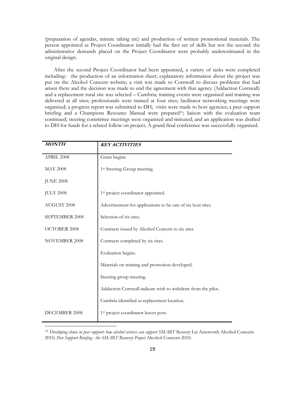(preparation of agendas, minute taking etc) and production of written promotional materials. The person appointed as Project Coordinator initially had the first set of skills but not the second: the administrative demands placed on the Project Coordinator were probably underestimated in the original design.

After the second Project Coordinator had been appointed, a variety of tasks were completed including:- the production of an information sheet; explanatory information about the project was put on the Alcohol Concern website; a visit was made to Cornwall to discuss problems that had arisen there and the decision was made to end the agreement with that agency (Addaction Cornwall) and a replacement rural site was selected – Cumbria; training events were organised and training was delivered at all sites; professionals were trained at four sites; facilitator networking meetings were organised; a progress report was submitted to DH; visits were made to host agencies; a peer support briefing and a Champions Resource Manual were prepared<sup>15</sup>; liaison with the evaluation team continued; steering committee meetings were organised and minuted; and an application was drafted to DH for funds for a related follow on project. A grand final conference was successfully organised.

| <b>MONTH</b>         | <b>KEY ACTIVITIES</b>                                        |
|----------------------|--------------------------------------------------------------|
| APRIL 2008           | Grant begins.                                                |
| <b>MAY 2008</b>      | 1 <sup>st</sup> Steering Group meeting.                      |
| <b>JUNE 2008</b>     |                                                              |
| <b>JULY 2008</b>     | 1 <sup>st</sup> project coordinator appointed.               |
| AUGUST 2008          | Advertisement for applications to be one of six host sites.  |
| SEPTEMBER 2008       | Selection of six sites.                                      |
| OCTOBER 2008         | Contracts issued by Alcohol Concern to six sites             |
| <b>NOVEMBER 2008</b> | Contracts completed by six sites.                            |
|                      | Evaluation begins.                                           |
|                      | Materials on training and promotion developed.               |
|                      | Steering group meeting.                                      |
|                      | Addaction Cornwall indicate wish to withdraw from the pilot. |
|                      | Cumbria identified as replacement location.                  |
| DECEMBER 2008        | 1 <sup>st</sup> project coordinator leaves post.             |

<sup>15</sup> *Developing choice in peer support: how alcohol services can support SMART Recovery* Liz Ainsworth Alcohol Concern 2010; *Peer Support Briefing : the SMART Recovery Project* Alcohol Concern 2010.

 $\ddot{\phantom{a}}$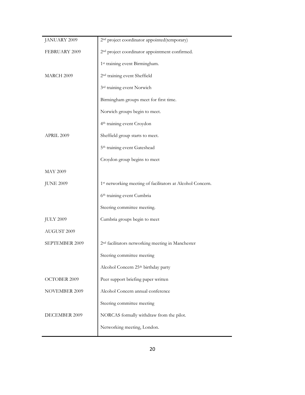| JANUARY 2009     | 2 <sup>nd</sup> project coordinator appointed(temporary)      |
|------------------|---------------------------------------------------------------|
| FEBRUARY 2009    | 2 <sup>nd</sup> project coordinator appointment confirmed.    |
|                  | 1 <sup>st</sup> training event Birmingham.                    |
| MARCH 2009       | 2 <sup>nd</sup> training event Sheffield                      |
|                  | 3rd training event Norwich                                    |
|                  | Birmingham groups meet for first time.                        |
|                  | Norwich groups begin to meet.                                 |
|                  | 4 <sup>th</sup> training event Croydon                        |
| APRIL 2009       | Sheffield group starts to meet.                               |
|                  | 5th training event Gateshead                                  |
|                  | Croydon group begins to meet                                  |
| <b>MAY 2009</b>  |                                                               |
| <b>JUNE 2009</b> | 1st networking meeting of facilitators at Alcohol Concern.    |
|                  | 6th training event Cumbria                                    |
|                  | Steering committee meeting.                                   |
| <b>JULY 2009</b> | Cumbria groups begin to meet                                  |
| AUGUST 2009      |                                                               |
| SEPTEMBER 2009   | 2 <sup>nd</sup> facilitators networking meeting in Manchester |
|                  | Steering committee meeting                                    |
|                  | Alcohol Concern 25th birthday party                           |
| OCTOBER 2009     | Peer support briefing paper written                           |
| NOVEMBER 2009    | Alcohol Concern annual conference                             |
|                  | Steering committee meeting                                    |
| DECEMBER 2009    | NORCAS formally withdraw from the pilot.                      |
|                  | Networking meeting, London.                                   |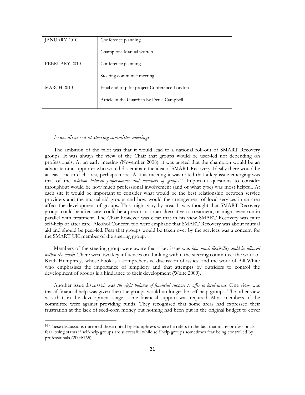| JANUARY 2010      | Conference planning                          |
|-------------------|----------------------------------------------|
|                   | Champions Manual written                     |
| FEBRUARY 2010     | Conference planning                          |
|                   | Steering committee meeting                   |
| <b>MARCH 2010</b> | Final end of pilot project Conference London |
|                   | Article in the Guardian by Denis Campbell    |
|                   |                                              |

#### *Issues discussed at steering committee meetings*

 $\ddot{\phantom{a}}$ 

The ambition of the pilot was that it would lead to a national roll-out of SMART Recovery groups. It was always the view of the Chair that groups would be user-led not depending on professionals. At an early meeting (November 2008), it was agreed that the champion would be an advocate or a supporter who would disseminate the idea of SMART Recovery. Ideally there would be at least one in each area, perhaps more. At this meeting it was noted that a key issue emerging was that of the *relation between professionals and members of groups*. <sup>16</sup> Important questions to consider throughout would be how much professional involvement (and of what type) was most helpful. At each site it would be important to consider what would be the best relationship between service providers and the mutual aid groups and how would the arrangement of local services in an area affect the development of groups. This might vary by area. It was thought that SMART Recovery groups could be after-care, could be a precursor or an alternative to treatment, or might even run in parallel with treatment. The Chair however was clear that in his view SMART Recovery was pure self-help or after care. Alcohol Concern too were emphatic that SMART Recovery was about mutual aid and should be peer-led. Fear that groups would be taken over by the services was a concern for the SMART UK member of the steering group.

Members of the steering group were aware that a key issue was *how much flexibility could be allowed within the model*. There were two key influences on thinking within the steering committee: the work of Keith Humphreys whose book is a comprehensive discussion of issues; and the work of Bill White who emphasises the importance of simplicity and that attempts by outsiders to control the development of groups is a hindrance to their development (White 2009).

Another issue discussed was *the right balance of financial support to offer to local areas*. One view was that if financial help was given then the groups would no longer be self-help groups. The other view was that, in the development stage, some financial support was required. Most members of the committee were against providing funds. They recognised that some areas had expressed their frustration at the lack of seed-corn money but nothing had been put in the original budget to cover

<sup>&</sup>lt;sup>16</sup> These discussions mirrored those noted by Humphreys where he refers to the fact that many professionals fear losing status if self-help groups are successful while self help groups sometimes fear being controlled by professionals (2004:165).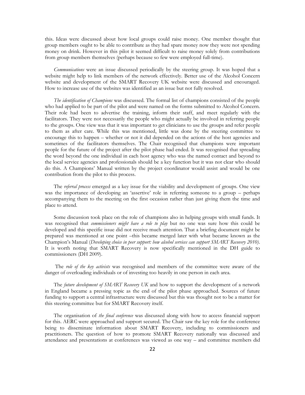this. Ideas were discussed about how local groups could raise money. One member thought that group members ought to be able to contribute as they had spare money now they were not spending money on drink. However in this pilot it seemed difficult to raise money solely from contributions from group members themselves (perhaps because so few were employed full-time).

*Communications* were an issue discussed periodically by the steering group. It was hoped that a website might help to link members of the network effectively. Better use of the Alcohol Concern website and development of the SMART Recovery UK website were discussed and encouraged. How to increase use of the websites was identified as an issue but not fully resolved.

*The identification of Champions* was discussed. The formal list of champions consisted of the people who had applied to be part of the pilot and were named on the forms submitted to Alcohol Concern. Their role had been to advertise the training, inform their staff, and meet regularly with the facilitators. They were not necessarily the people who might actually be involved in referring people to the groups. One view was that it was important to get clinicians to use the groups and refer people to them as after care. While this was mentioned, little was done by the steering committee to encourage this to happen – whether or not it did depended on the actions of the host agencies and sometimes of the facilitators themselves. The Chair recognised that champions were important people for the future of the project after the pilot phase had ended. It was recognised that spreading the word beyond the one individual in each host agency who was the named contact and beyond to the local service agencies and professionals should be a key function but it was not clear who should do this. A Champions" Manual written by the project coordinator would assist and would be one contribution from the pilot to this process.

The *referral process* emerged as a key issue for the viability and development of groups. One view was the importance of developing an 'assertive' role in referring someone to a group – perhaps accompanying them to the meeting on the first occasion rather than just giving them the time and place to attend.

Some discussion took place on the role of champions also in helping groups with small funds. It was recognised that *commissioners might have a role to play* but no one was sure how this could be developed and this specific issue did not receive much attention. That a briefing document might be prepared was mentioned at one point –this became merged later with what became known as the Champion"s Manual (*Developing choice in peer support: how alcohol services can support SMART Recovery 2010)*. It is worth noting that SMART Recovery is now specifically mentioned in the DH guide to commissioners (DH 2009).

The *role of the key activists* was recognised and members of the committee were aware of the danger of overloading individuals or of investing too heavily in one person in each area.

The *future development of SMART Recovery UK* and how to support the development of a network in England became a pressing topic as the end of the pilot phase approached. Sources of future funding to support a central infrastructure were discussed but this was thought not to be a matter for this steering committee but for SMART Recovery itself.

The organisation of *the final conference* was discussed along with how to access financial support for this. AERC were approached and support secured. The Chair saw the key role for the conference being to disseminate information about SMART Recovery, including to commissioners and practitioners. The question of how to promote SMART Recovery nationally was discussed and attendance and presentations at conferences was viewed as one way – and committee members did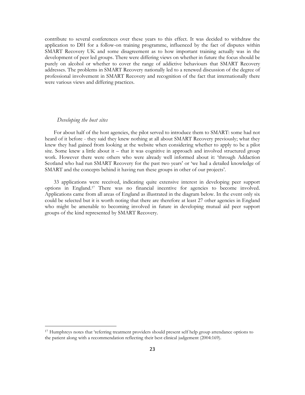contribute to several conferences over these years to this effect. It was decided to withdraw the application to DH for a follow-on training programme, influenced by the fact of disputes within SMART Recovery UK and some disagreement as to how important training actually was in the development of peer led groups. There were differing views on whether in future the focus should be purely on alcohol or whether to cover the range of addictive behaviours that SMART Recovery addresses. The problems in SMART Recovery nationally led to a renewed discussion of the degree of professional involvement in SMART Recovery and recognition of the fact that internationally there were various views and differing practices.

# *Developing the host sites*

 $\ddot{\phantom{a}}$ 

For about half of the host agencies, the pilot served to introduce them to SMART: some had not heard of it before - they said they knew nothing at all about SMART Recovery previously; what they knew they had gained from looking at the website when considering whether to apply to be a pilot site. Some knew a little about it – that it was cognitive in approach and involved structured group work. However there were others who were already well informed about it: "through Addaction Scotland who had run SMART Recovery for the past two years' or 'we had a detailed knowledge of SMART and the concepts behind it having run these groups in other of our projects'.

33 applications were received, indicating quite extensive interest in developing peer support options in England.<sup>17</sup> There was no financial incentive for agencies to become involved. Applications came from all areas of England as illustrated in the diagram below. In the event only six could be selected but it is worth noting that there are therefore at least 27 other agencies in England who might be amenable to becoming involved in future in developing mutual aid peer support groups of the kind represented by SMART Recovery.

<sup>17</sup> Humphreys notes that "referring treatment providers should present self help group attendance options to the patient along with a recommendation reflecting their best clinical judgement (2004:169).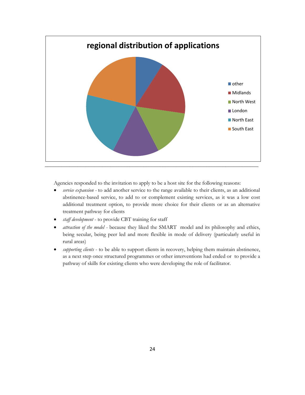

Agencies responded to the invitation to apply to be a host site for the following reasons:

- *service expansion -* to add another service to the range available to their clients, as an additional abstinence-based service, to add to or complement existing services, as it was a low cost additional treatment option, to provide more choice for their clients or as an alternative treatment pathway for clients
- *staff development* to provide CBT training for staff
- *attraction of the model -* because they liked the SMART model and its philosophy and ethics, being secular, being peer led and more flexible in mode of delivery (particularly useful in rural areas)
- *supporting clients* to be able to support clients in recovery, helping them maintain abstinence, as a next step once structured programmes or other interventions had ended or to provide a pathway of skills for existing clients who were developing the role of facilitator.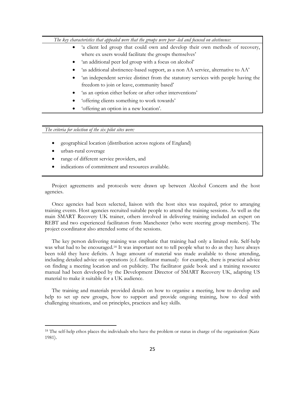*The key characteristics that appealed were that the groups were peer -led and focused on abstinence:*

- 'a client led group that could own and develop their own methods of recovery, where ex users would facilitate the groups themselves'
- 'an additional peer led group with a focus on alcohol'
- 'as additional abstinence-based support, as a non AA service, alternative to AA'
- 'an independent service distinct from the statutory services with people having the freedom to join or leave, community based'
- 'as an option either before or after other interventions'
- "offering clients something to work towards"
- 'offering an option in a new location'.

*The criteria for selection of the six pilot sites were:* 

- geographical location (distribution across regions of England)
- urban-rural coverage

 $\ddot{\phantom{a}}$ 

- range of different service providers, and
- indications of commitment and resources available.

Project agreements and protocols were drawn up between Alcohol Concern and the host agencies.

Once agencies had been selected, liaison with the host sites was required, prior to arranging training events. Host agencies recruited suitable people to attend the training sessions. As well as the main SMART Recovery UK trainer, others involved in delivering training included an expert on REBT and two experienced facilitators from Manchester (who were steering group members). The project coordinator also attended some of the sessions.

The key person delivering training was emphatic that training had only a limited role. Self-help was what had to be encouraged.<sup>18</sup> It was important not to tell people what to do as they have always been told they have deficits. A huge amount of material was made available to those attending, including detailed advice on operations (c.f. facilitator manual): for example, there is practical advice on finding a meeting location and on publicity. The facilitator guide book and a training resource manual had been developed by the Development Director of SMART Recovery UK, adapting US material to make it suitable for a UK audience.

The training and materials provided details on how to organise a meeting, how to develop and help to set up new groups, how to support and provide ongoing training, how to deal with challenging situations, and on principles, practices and key skills.

<sup>&</sup>lt;sup>18</sup> The self-help ethos places the individuals who have the problem or status in charge of the organisation (Katz 1981).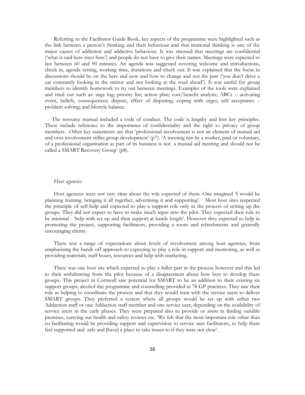Referring to the Facilitator Guide Book, key aspects of the programme were highlighted such as the link between a person"s thinking and their behaviour and that irrational thinking is one of the major causes of addiction and addictive behaviour. It was stressed that meetings are confidential ('what is said here stays here') and people do not have to give their names. Meetings were expected to last between 60 and 90 minutes. An agenda was suggested covering welcome and introductions, check in, agenda setting, working time, donations and check out. It was explained that the focus in discussions should be on the here and now and how to change and not the past ("you don"t drive a car constantly looking in the mirror and not looking at the road ahead"). It was useful for group members to identify homework to try out between meetings. Examples of the tools were explained and tried out such as: urge log; priority list; action plan; cost/benefit analysis; ABCs – activating event, beliefs, consequences; dispute, effect of disputing; coping with urges; self acceptance – problem solving; and lifestyle balance.

The resource manual included a code of conduct. The code is lengthy and lists key principles. These include reference to the importance of confidentiality and the right to privacy of group members. Other key statements are that "professional involvement is not an element of mutual aid and over involvement stifles group development" (p7). "A meeting run by a worker, paid or voluntary, of a professional organisation as part of its business is not a mutual aid meeting and should not be called a SMART Recovery Group" (p8).

#### *Host agencies*

Host agencies were not very clear about the role expected of them. One imagined "I would be planning training, bringing it all together, advertising it and supporting". Most host sites respected the principle of self-help and expected to play a support role only in the process of setting up the groups. They did not expect to have to make much input into the pilot. They expected their role to be minimal - 'help with set up and then support at hands length'. However they expected to help in promoting the project, supporting facilitators, providing a room and refreshments and generally encouraging clients.

There was a range of expectations about levels of involvement among host agencies, from emphasising the hands off approach to expecting to play a role in support and mentoring, as well as providing materials, staff hours, resources and help with marketing.

There was one host site which expected to play a fuller part in the process however and this led to their withdrawing from the pilot because of a disagreement about how best to develop these groups. This project in Cornwall saw potential for SMART to be an addition to their existing six support groups, alcohol day programme and counselling provided in 78 GP practices. They saw their role as helping to coordinate the process and that they would train with the service users to deliver SMART groups. They preferred a system where all groups would be set up with either two Addaction staff or one Addaction staff member and one service user, depending on the availability of service users in the early phases. They were prepared also to provide or assist in finding suitable premises, carrying out health and safety reviews etc. "We felt that the most important role other than co-facilitating would be providing support and supervision to service user facilitators, to help them feel supported and safe and [have] a place to take issues to if they were not clear'.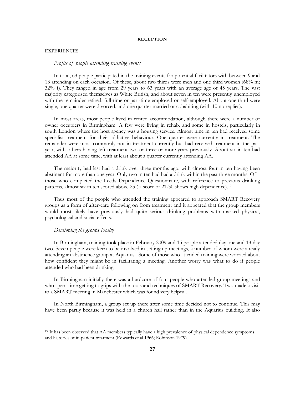#### **RECEPTION**

#### <span id="page-26-1"></span><span id="page-26-0"></span>EXPERIENCES

## *Profile of people attending training events*

In total, 63 people participated in the training events for potential facilitators with between 9 and 13 attending on each occasion. Of these, about two thirds were men and one third women (68% m; 32% f). They ranged in age from 29 years to 63 years with an average age of 45 years. The vast majority categorised themselves as White British, and about seven in ten were presently unemployed with the remainder retired, full-time or part-time employed or self-employed. About one third were single, one quarter were divorced, and one quarter married or cohabiting (with 10 no replies).

In most areas, most people lived in rented accommodation, although there were a number of owner occupiers in Birmingham. A few were living in rehab. and some in hostels, particularly in south London where the host agency was a housing service. Almost nine in ten had received some specialist treatment for their addictive behaviour. One quarter were currently in treatment. The remainder were most commonly not in treatment currently but had received treatment in the past year, with others having left treatment two or three or more years previously. About six in ten had attended AA at some time, with at least about a quarter currently attending AA.

The majority had last had a drink over three months ago, with almost four in ten having been abstinent for more than one year. Only two in ten had had a drink within the past three months. Of those who completed the Leeds Dependence Questionnaire, with reference to previous drinking patterns, almost six in ten scored above 25 ( a score of 21-30 shows high dependence).<sup>19</sup>

Thus most of the people who attended the training appeared to approach SMART Recovery groups as a form of after-care following on from treatment and it appeared that the group members would most likely have previously had quite serious drinking problems with marked physical, psychological and social effects.

# *Developing the groups locally*

 $\ddot{\phantom{a}}$ 

In Birmingham, training took place in February 2009 and 15 people attended day one and 13 day two. Seven people were keen to be involved in setting up meetings, a number of whom were already attending an abstinence group at Aquarius. Some of those who attended training were worried about how confident they might be in facilitating a meeting. Another worry was what to do if people attended who had been drinking.

In Birmingham initially there was a hardcore of four people who attended group meetings and who spent time getting to grips with the tools and techniques of SMART Recovery. Two made a visit to a SMART meeting in Manchester which was found very helpful.

In North Birmingham, a group set up there after some time decided not to continue. This may have been partly because it was held in a church hall rather than in the Aquarius building. It also

<sup>19</sup> It has been observed that AA members typically have a high prevalence of physical dependence symptoms and histories of in-patient treatment (Edwards et al 1966; Robinson 1979).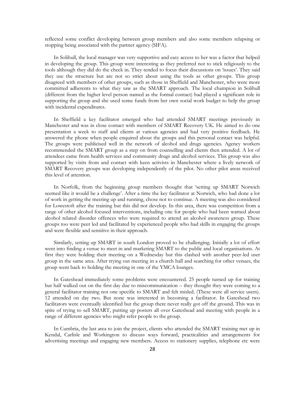reflected some conflict developing between group members and also some members relapsing or stopping being associated with the partner agency (SIFA).

In Solihull, the local manager was very supportive and easy access to her was a factor that helped in developing the group. This group were interesting as they preferred not to stick religiously to the tools although they did do the check in. They tended to focus their discussions on 'issues'. They said they use the structure but are not so strict about using the tools as other groups. This group disagreed with members of other groups, such as those in Sheffield and Manchester, who were more committed adherents to what they saw as the SMART approach. The local champion in Solihull (different from the higher level person named as the formal contact) had played a significant role in supporting the group and she used some funds from her own social work budget to help the group with incidental expenditures.

In Sheffield a key facilitator emerged who had attended SMART meetings previously in Manchester and was in close contact with members of SMART Recovery UK. He aimed to do one presentation a week to staff and clients at various agencies and had very positive feedback. He answered the phone when people enquired about the groups and this personal contact was helpful. The groups were publicised well in the network of alcohol and drugs agencies. Agency workers recommended the SMART group as a step on from counselling and clients then attended. A lot of attendees came from health services and community drugs and alcohol services. This group was also supported by visits from and contact with keen activists in Manchester where a lively network of SMART Recovery groups was developing independently of the pilot. No other pilot areas received this level of attention.

In Norfolk, from the beginning group members thought that "setting up SMART Norwich seemed like it would be a challenge'. After a time the key facilitator at Norwich, who had done a lot of work in getting the meeting up and running, chose not to continue. A meeting was also considered for Lowestoft after the training but this did not develop. In this area, there was competition from a range of other alcohol focused interventions, including one for people who had been warned about alcohol related disorder offences who were required to attend an alcohol awareness group. These groups too were peer led and facilitated by experienced people who had skills in engaging the groups and were flexible and sensitive in their approach.

Similarly, setting up SMART in south London proved to be challenging. Initially a lot of effort went into finding a venue to meet in and marketing SMART to the public and local organisations. At first they were holding their meeting on a Wednesday but this clashed with another peer-led user group in the same area. After trying out meeting in a church hall and searching for other venues, the group went back to holding the meeting in one of the YMCA lounges.

In Gateshead immediately some problems were encountered. 25 people turned up for training but half walked out on the first day due to miscommunication – they thought they were coming to a general facilitator training not one specific to SMART and felt misled. (These were all service users). 12 attended on day two. But none was interested in becoming a facilitator. In Gateshead two facilitators were eventually identified but the group there never really got off the ground. This was in spite of trying to sell SMART, putting up posters all over Gateshead and meeting with people in a range of different agencies who might refer people to the group.

In Cumbria, the last area to join the project, clients who attended the SMART training met up in Kendal, Carlisle and Workington to discuss ways forward, practicalities and arrangements for advertising meetings and engaging new members. Access to stationery supplies, telephone etc were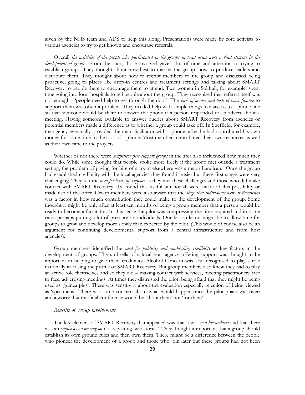given by the NHS team and ADS to help this along. Presentations were made by core activists to various agencies to try to get known and encourage referrals.

Overall *the activities of the people who participated in the groups in local areas were a vital element in the development of groups*. From the start, those involved gave a lot of time and attention to trying to establish groups. They thought about how best to market the group, how to produce leaflets and distribute them. They thought about how to recruit members to the group and discussed being proactive, going to places like drop-in centres and treatment settings and talking about SMART Recovery to people there to encourage them to attend. Two women in Solihull, for example, spent time going into local hospitals to tell people about the group. They recognised that referral itself was not enough - "people need help to get through the door". The *lack of money and lack of basic finance* to support them was often a problem. They needed help with simple things like access to a phone line so that someone would be there to answer the phone if a person responded to an advert about a meeting. Having someone available to answer queries about SMART Recovery from agencies or potential members made a difference as to whether a group could take off. In Sheffield, for example, the agency eventually provided the main facilitator with a phone, after he had contributed his own money for some time to the cost of a phone. Most members contributed their own resources as well as their own time to the projects.

Whether or not there were *competitor peer support groups* in the area also influenced how much they could do. While some thought that people spoke more freely if the group met outside a treatment setting, the problem of paying for hire of a room elsewhere was a major handicap. Once the group had established credibility with the local agencies they found it easier but these first stages were very challenging. They felt the *need for back up support* as they met these challenges and those who did make contact with SMART Recovery UK found this useful but not all were aware of this possibility or made use of the offer. Group members were also aware that the *stage that individuals were at themselves*  was a factor in how much contribution they could make to the development of the group. Some thought it might be only after at least ten months of being a group member that a person would be ready to become a facilitator. In this sense the pilot was compressing the time required and in some cases perhaps putting a lot of pressure on individuals. One lesson learnt might be to allow time for groups to grow and develop more slowly than expected by the pilot. (This would of course also be an argument for continuing developmental support from a central infrastructure and from host agencies).

Group members identified the *need for publicity and establishing credibility* as key factors in the development of groups. The umbrella of a local host agency offering support was thought to be important in helping to give them credibility. Alcohol Concern was also recognised to play a role nationally in raising the profile of SMART Recovery. But group members also knew they had to play an active role themselves and so they did – making contact with services, meeting practitioners face to face, advertising meetings. At times they distrusted the pilot, being afraid that they might be being used as 'guinea pigs'. There was sensitivity about the evaluation especially rejection of being viewed as "specimens". There was some concern about what would happen once the pilot phase was over: and a worry that the final conference would be 'about them' not 'for them'.

# *Benefits of group involvement*

The key element of SMART Recovery that appealed was that it was *non-hierarchical* and that there was an *emphasis on moving on* not repeating 'war stories'. They thought it important that a group should establish its own ground rules and then own them. There might be a difference between the people who pioneer the development of a group and those who join later but these groups had not been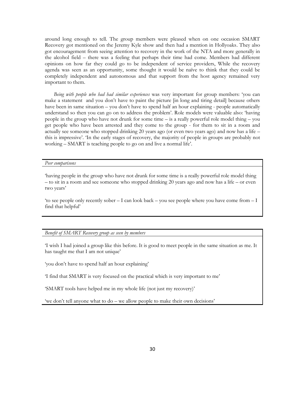around long enough to tell. The group members were pleased when on one occasion SMART Recovery got mentioned on the Jeremy Kyle show and then had a mention in Hollyoaks. They also got encouragement from seeing attention to recovery in the work of the NTA and more generally in the alcohol field – there was a feeling that perhaps their time had come. Members had different opinions on how far they could go to be independent of service providers, While the recovery agenda was seen as an opportunity, some thought it would be naïve to think that they could be completely independent and autonomous and that support from the host agency remained very important to them.

*Being with people who had had similar experiences* was very important for group members: "you can make a statement and you don"t have to paint the picture [in long and tiring detail] because others have been in same situation – you don"t have to spend half an hour explaining - people automatically understand so then you can go on to address the problem". Role models were valuable also: "having people in the group who have not drunk for some time – is a really powerful role model thing – you get people who have been arrested and they come to the group - for them to sit in a room and actually see someone who stopped drinking 20 years ago (or even two years ago) and now has a life – this is impressive". "In the early stages of recovery, the majority of people in groups are probably not working – SMART is teaching people to go on and live a normal life".

#### *Peer comparisons*

"having people in the group who have not drunk for some time is a really powerful role model thing – to sit in a room and see someone who stopped drinking 20 years ago and now has a life – or even two vears'

'to see people only recently sober  $-1$  can look back – you see people where you have come from  $-1$ find that helpful"

# *Benefit of SMART Recovery group as seen by members*

"I wish I had joined a group like this before. It is good to meet people in the same situation as me. It has taught me that I am not unique'

'you don't have to spend half an hour explaining'

"I find that SMART is very focused on the practical which is very important to me"

"SMART tools have helped me in my whole life (not just my recovery)"

'we don't tell anyone what to do – we allow people to make their own decisions'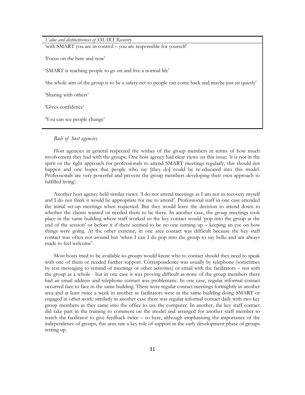*Value and distinctiveness of SMART Recovery* 'with SMART you are in control – you are responsible for yourself

"Focus on the here and now"

"SMART is teaching people to go on and live a normal life"

"the whole aim of the group is to be a safety net so people can come back and maybe just sit quietly"

"Sharing with others"

"Gives confidence"

You can see people change'

# *Role of host agencies*

Host agencies in general respected the wishes of the group members in terms of how much involvement they had with the groups. One host agency had clear views on this issue: "it is not in the spirit or the right approach for professionals to attend SMART meetings regularly, this should not happen and one hopes that people who say [they do] could be re-educated into this model. Professionals are very powerful and prevent the group members developing their own approach to fulfilled living'.

Another host agency held similar views: "I do not attend meetings as I am not in recovery myself and I do not think it would be appropriate for me to attend". Professional staff in one case attended the initial set-up meetings when requested. But they would leave the decision to attend down to whether the clients wanted or needed them to be there. In another case, the group meetings took place in the same building where staff worked so the key contact would "pop into the group at the end of the session" or before it if there seemed to be no-one turning up – keeping an eye on how things were going. At the other extreme, in one area contact was difficult because the key staff contact was often not around but "when I can I do pop into the group to say hello and am always made to feel welcome'.

Most hosts tried to be available so groups would know who to contact should they need to speak with one of them or needed further support. Correspondence was usually by telephone (sometimes by text messaging to remind of meetings or other activities) or email with the facilitators – not with the group as a whole - but in one case it was proving difficult as none of the group members there had an email address and telephone contact was problematic. In one case, regular informal contact occurred face to face in the same building. There were regular contact meetings fortnightly in another area and at least twice a week in another as facilitators were in the same building doing SMART or engaged in other work: similarly in another case there was regular informal contact daily with two key group members as they came into the office to use the computer. In another, the key staff contact did take part in the training to comment on the model and arranged for another staff member to watch the facilitator to give feedback twice – so here, although emphasising the importance of the independence of groups, this area saw a key role of support in the early development phase of groups setting up.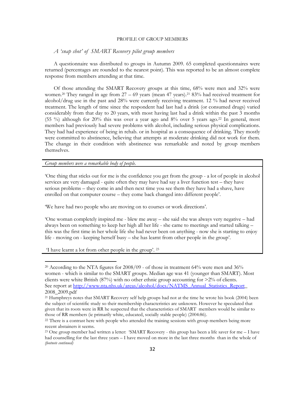#### PROFILE OF GROUP MEMBERS

# <span id="page-31-0"></span>*A 'snap shot' of SMART Recovery pilot group members*

A questionnaire was distributed to groups in Autumn 2009. 65 completed questionnaires were returned (percentages are rounded to the nearest point). This was reported to be an almost complete response from members attending at that time.

Of those attending the SMART Recovery groups at this time, 68% were men and 32% were women.<sup>20</sup> They ranged in age from 27 – 69 years (mean 47 years).<sup>21</sup> 83% had received treatment for alcohol/drug use in the past and 28% were currently receiving treatment. 12 % had never received treatment. The length of time since the respondent had last had a drink (or consumed drugs) varied considerably from that day to 20 years, with most having last had a drink within the past 3 months (55 %) although for 20% this was over a year ago and 8% over 5 years ago.<sup>22</sup> In general, most members had previously had severe problems with alcohol, including serious physical complications. They had had experience of being in rehab. or in hospital as a consequence of drinking. They mostly were committed to abstinence, believing that attempts at moderate drinking did not work for them. The change in their condition with abstinence was remarkable and noted by group members themselves.

*Group members were a remarkable body of people.*

"One thing that sticks out for me is the confidence you get from the group - a lot of people in alcohol services are very damaged - quite often they may have had say a liver function test – they have serious problems – they come in and then next time you see them they have had a shave, have enrolled on that computer course – they come back changed into different people'.

We have had two people who are moving on to courses or work directions'.

"One woman completely inspired me - blew me away – she said she was always very negative – had always been on something to keep her high all her life - she came to meetings and started talking – this was the first time in her whole life she had never been on anything - now she is starting to enjoy life - moving on - keeping herself busy – she has learnt from other people in the group'.

'I have learnt a lot from other people in the group'. <sup>23</sup>

 $\overline{a}$ 

<sup>&</sup>lt;sup>20</sup> According to the NTA figures for  $2008/09$  - of those in treatment 64% were men and 36% women - which is similar to the SMART groups. Median age was 41 (younger than SMART). Most clients were white British (87%) with no other ethnic group accounting for >2% of clients. See report a[t http://www.nta.nhs.uk/areas/alcohol/docs/NATMS\\_Annual\\_Statistics\\_Report\\_](https://webmail.lshtm.ac.uk/gw/webacc?User.context=3893a53f3f984d60a932ed21d0b28c278db19a&merge=linkurl&Url.linkText=http%3a%2f%2fwww%2enta%2enhs%2euk%2fareas%2falcohol%2fdocs%2fNATMS%5fAnnual%5fStatistics%5fReport) 2008\_2009.pdf

<sup>&</sup>lt;sup>21</sup> Humphreys notes that SMART Recovery self help groups had not at the time he wrote his book (2004) been the subject of scientific study so their membership characteristics are unknown. However he speculated that given that its roots were in RR he suspected that the characteristics of SMART members would be similar to those of RR members (ie primarily white, educated, socially stable people) (2004:86).

<sup>&</sup>lt;sup>22</sup> There is a contrast here with people who attended the training sessions with group members being more recent abstainers it seems.

<sup>&</sup>lt;sup>23</sup> One group member had written a letter: 'SMART Recovery - this group has been a life saver for me  $-1$  have had counselling for the last three years – I have moved on more in the last three months than in the whole of *(footnote continued)*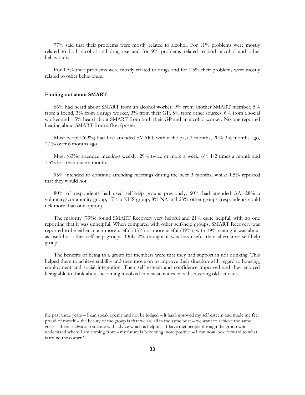77% said that their problems were mostly related to alcohol. For 11% problems were mostly related to both alcohol and drug use and for 9% problems related to both alcohol and other behaviours.

For 1.5% their problems were mostly related to drugs and for 1.5% their problems were mostly related to other behaviours.

#### **Finding out about SMART**

 $\ddot{\phantom{a}}$ 

66% had heard about SMART from an alcohol worker. 9% from another SMART member, 5% from a friend, 3% from a drugs worker, 3% from their GP, 5% from other sources, 6% from a social worker and 1.5% heard about SMART from both their GP and an alcohol worker. No one reported hearing about SMART from a flyer/poster.

Most people (63%) had first attended SMART within the past 3 months, 20% 3-6 months ago, 17 % over 6 months ago.

Most (63%) attended meetings weekly, 29% twice or more a week, 6% 1-2 times a month and 1.5% less than once a month.

95% intended to continue attending meetings during the next 3 months, whilst 1.5% reported that they would not.

80% of respondents had used self-help groups previously: 60% had attended AA; 28% a voluntary/community group; 17% a NHS group; 8% NA and 23% other groups (respondents could tick more than one option).

The majority (79%) found SMART Recovery very helpful and 21% quite helpful, with no one reporting that it was unhelpful. When compared with other self-help groups, SMART Recovery was reported to be either much more useful  $(33\%)$  or more useful  $(39\%)$ , with 19% stating it was about as useful as other self-help groups. Only 2% thought it was less useful than alternative self-help groups.

The benefits of being in a group for members were that they had support in not drinking. This helped them to achieve stability and then move on to improve their situation with regard to housing, employment and social integration. Their self esteem and confidence improved and they enjoyed being able to think about becoming involved in new activities or rediscovering old activities.

the past three years – I can speak openly and not be judged – it has improved my self esteem and made me feel proud of myself – the beauty of the group is that we are all in the same boat – we want to achieve the same goals – there is always someone with advice which is helpful – I have met people through the group who understand where I am coming from - my future is becoming more positive – I can now look forward to what is round the corner.'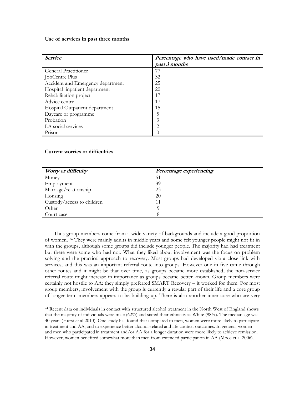#### **Use of services in past three months**

| <b>Service</b>                    | Percentage who have used/made contact in |
|-----------------------------------|------------------------------------------|
|                                   | past 3 months                            |
| General Practitioner              | 77                                       |
| JobCentre Plus                    | 32                                       |
| Accident and Emergency department | 25                                       |
| Hospital inpatient department     | 20                                       |
| Rehabilitation project            | 17                                       |
| Advice centre                     | 17                                       |
| Hospital Outpatient department    | 15                                       |
| Daycare or programme              | 5                                        |
| Probation                         | 3                                        |
| LA social services                | 2                                        |
| Prison                            |                                          |

# **Current worries or difficulties**

 $\ddot{\phantom{a}}$ 

| Worry or difficulty        | Percentage experiencing |
|----------------------------|-------------------------|
| Money                      | 51                      |
| Employment                 | 39                      |
| Marriage/relationship      | 23                      |
| Housing                    | 20                      |
| Custody/access to children | 11                      |
| Other                      |                         |
| Court case                 |                         |

Thus group members come from a wide variety of backgrounds and include a good proportion of women. <sup>24</sup> They were mainly adults in middle years and some felt younger people might not fit in with the groups, although some groups did include younger people. The majority had had treatment but there were some who had not. What they liked about involvement was the focus on problem solving and the practical approach to recovery. Most groups had developed via a close link with services, and this was an important referral route into groups. However one in five came through other routes and it might be that over time, as groups became more established, the non-service referral route might increase in importance as groups became better known. Group members were certainly not hostile to AA: they simply preferred SMART Recovery – it worked for them. For most group members, involvement with the group is currently a regular part of their life and a core group of longer term members appears to be building up. There is also another inner core who are very

<sup>&</sup>lt;sup>24</sup> Recent data on individuals in contact with structured alcohol treatment in the North West of England shows that the majority of individuals were male (62%) and stated their ethnicity as White (98%). The median age was 40 years (Hurst et al 2010). One study has found that compared to men, women were more likely to participate in treatment and AA, and to experience better alcohol-related and life context outcomes. In general, women and men who participated in treatment and/or AA for a longer duration were more likely to achieve remission. However, women benefited somewhat more than men from extended participation in AA (Moos et al 2006).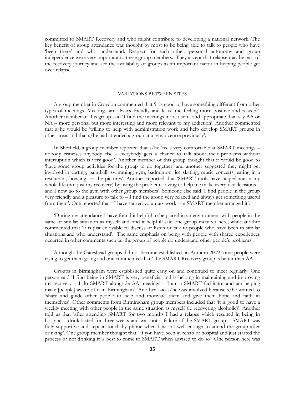committed to SMART Recovery and who might contribute to developing a national network. The key benefit of group attendance was thought by most to be being able to talk to people who have "been there" and who understand. Respect for each other, personal autonomy and group independence were very important to these group members. They accept that relapse may be part of the recovery journey and see the availability of groups as an important factor in helping people get over relapse.

## VARIATIONS BETWEEN SITES

<span id="page-34-0"></span>A group member in Croydon commented that "it is good to have something different from other types of meetings. Meetings are always friendly and leave me feeling more positive and relaxed". Another member of this group said "I find the meetings more useful and appropriate than say AA or NA – more personal but more interesting and more relevant to my addiction'. Another commented that s/he would be "willing to help with administration work and help develop SMART groups in other areas and that s/he had attended a group at a rehab centre previously".

In Sheffield, a group member reported that s/he "feels very comfortable at SMART meetings – nobody criticises anybody else - everybody gets a chance to talk about their problems without interruption which is very good". Another member of this group thought that it would be good to "have some group activities for the group to do together" and another suggested they might get involved in carting, paintball, swimming, gym, badminton, ice skating, music concerts, eating in a restaurant, bowling, or the pictures'. Another reported that 'SMART tools have helped me in my whole life (not just my recovery) by using the problem solving to help me make every-day decisions – and I now go to the gym with other group members". Someone else said "I find people in the group very friendly and a pleasure to talk to – I find the group very relaxed and always get something useful from them'. One reported that 'I have started voluntary work - a SMART member arranged it'.

"During my attendance I have found it helpful to be placed in an environment with people in the same or similar situation as myself and find it helpful" said one group member here, while another commented that "it is just enjoyable to discuss or listen or talk to people who have been in similar situations and who understand'. The same emphasis on being with people with shared experiences occurred in other comments such as "the group of people do understand other people"s problems".

Although the Gateshead groups did not become established, in Autumn 2009 some people were trying to get them going and one commented that ' the SMART Recovery group is better than AA'.

Groups in Birmingham were established quite early on and continued to meet regularly. One person said "I find being in SMART is very beneficial and is helping in maintaining and improving my recovery  $-1$  do SMART alongside AA meetings  $-1$  am a SMART facilitator and am helping make [people] aware of it in Birmingham". Another said s/he was involved because s/he wanted to "share and guide other people to help and motivate them and give them hope and faith in themselves". Other comments from Birmingham group members included that "it is good to have a weekly meeting with other people in the same situation as myself (ie recovering alcoholic)". Another told us that "after attending SMART for two months I had a relapse which resulted in being in hospital – drink lasted for three weeks and was not a failure of the SMART group – SMART was fully supportive and kept in touch by phone when I wasn't well enough to attend the group after drinking'. One group member thought that ' if you have been in rehab or hospital and just started the process of not drinking it is best to come to SMART when advised to do so'. One person here was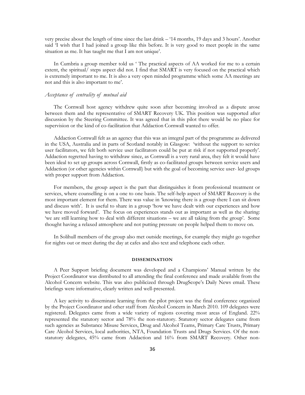very precise about the length of time since the last drink – "14 months, 19 days and 3 hours". Another said I wish that I had joined a group like this before. It is very good to meet people in the same situation as me. It has taught me that I am not unique'.

In Cumbria a group member told us " The practical aspects of AA worked for me to a certain extent, the spiritual/ steps aspect did not. I find that SMART is very focused on the practical which is extremely important to me. It is also a very open minded programme which some AA meetings are not and this is also important to me".

# *Acceptance of centrality of mutual aid*

The Cornwall host agency withdrew quite soon after becoming involved as a dispute arose between them and the representative of SMART Recovery UK. This position was supported after discussion by the Steering Committee. It was agreed that in this pilot there would be no place for supervision or the kind of co-facilitation that Addaction Cornwall wanted to offer.

Addaction Cornwall felt as an agency that this was an integral part of the programme as delivered in the USA, Australia and in parts of Scotland notably in Glasgow: "without the support to service user facilitators, we felt both service user facilitators could be put at risk if not supported properly". Addaction regretted having to withdraw since, as Cornwall is a very rural area, they felt it would have been ideal to set up groups across Cornwall, firstly as co-facilitated groups between service users and Addaction (or other agencies within Cornwall) but with the goal of becoming service user- led groups with proper support from Addaction.

For members, the group aspect is the part that distinguishes it from professional treatment or services, where counselling is on a one to one basis. The self-help aspect of SMART Recovery is the most important element for them. There was value in "knowing there is a group there I can sit down and discuss with'. It is useful to share in a group 'how we have dealt with our experiences and how we have moved forward". The focus on experiences stands out as important as well as the sharing: 'we are still learning how to deal with different situations – we are all taking from the group'. Some thought having a relaxed atmosphere and not putting pressure on people helped them to move on.

In Solihull members of the group also met outside meetings, for example they might go together for nights out or meet during the day at cafes and also text and telephone each other.

#### **DISSEMINATION**

<span id="page-35-0"></span>A Peer Support briefing document was developed and a Champions" Manual written by the Project Coordinator was distributed to all attending the final conference and made available from the Alcohol Concern website. This was also publicized through DrugScope"s Daily News email. These briefings were informative, clearly written and well-presented.

A key activity to disseminate learning from the pilot project was the final conference organized by the Project Coordinator and other staff from Alcohol Concern in March 2010. 109 delegates were registered. Delegates came from a wide variety of regions covering most areas of England. 22% represented the statutory sector and 78% the non-statutory. Statutory sector delegates came from such agencies as Substance Misuse Services, Drug and Alcohol Teams, Primary Care Trusts, Primary Care Alcohol Services, local authorities, NTA, Foundation Trusts and Drugs Services. Of the nonstatutory delegates, 45% came from Addaction and 16% from SMART Recovery. Other non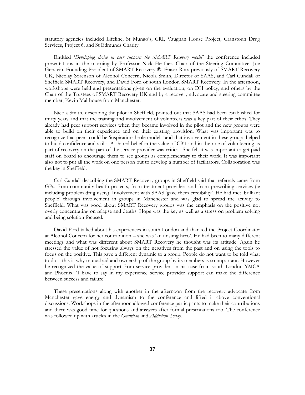statutory agencies included Lifeline, St Mungo"s, CRI, Vaughan House Project, Cranstoun Drug Services, Project 6, and St Edmunds Charity.

Entitled "*Developing choice in peer support: the SMART Recovery model'* the conference included presentations in the morning by Professor Nick Heather, Chair of the Steering Committee, Joe Gerstein, Founding President of SMART Recovery ®, Fraser Ross previously of SMART Recovery UK, Nicolay Sorenson of Alcohol Concern, Nicola Smith, Director of SAAS, and Carl Cundall of Sheffield SMART Recovery, and David Ford of south London SMART Recovery. In the afternoon, workshops were held and presentations given on the evaluation, on DH policy, and others by the Chair of the Trustees of SMART Recovery UK and by a recovery advocate and steering committee member, Kevin Malthouse from Manchester.

Nicola Smith, describing the pilot in Sheffield, pointed out that SAAS had been established for thirty years and that the training and involvement of volunteers was a key part of their ethos. They already had peer support services when they became involved in the pilot and the new groups were able to build on their experience and on their existing provision. What was important was to recognize that peers could be "inspirational role models" and that involvement in these groups helped to build confidence and skills. A shared belief in the value of CBT and in the role of volunteering as part of recovery on the part of the service provider was critical. She felt it was important to get paid staff on board to encourage them to see groups as complementary to their work. It was important also not to put all the work on one person but to develop a number of facilitators. Collaboration was the key in Sheffield.

Carl Cundall describing the SMART Recovery groups in Sheffield said that referrals came from GPs, from community health projects, from treatment providers and from prescribing services (ie including problem drug users). Involvement with SAAS "gave them credibility". He had met "brilliant people" through involvement in groups in Manchester and was glad to spread the activity to Sheffield. What was good about SMART Recovery groups was the emphasis on the positive not overly concentrating on relapse and deaths. Hope was the key as well as a stress on problem solving and being solution focused.

David Ford talked about his experiences in south London and thanked the Project Coordinator at Alcohol Concern for her contribution – she was "an unsung hero". He had been to many different meetings and what was different about SMART Recovery he thought was its attitude. Again he stressed the value of not focusing always on the negatives from the past and on using the tools to focus on the positive. This gave a different dynamic to a group. People do not want to be told what to do – this is why mutual aid and ownership of the group by its members is so important. However he recognized the value of support from service providers in his case from south London YMCA and Phoenix: "I have to say in my experience service provider support can make the difference between success and failure'.

These presentations along with another in the afternoon from the recovery advocate from Manchester gave energy and dynamism to the conference and lifted it above conventional discussions. Workshops in the afternoon allowed conference participants to make their contributions and there was good time for questions and answers after formal presentations too. The conference was followed up with articles in the *Guardian a*nd *Addiction Today*.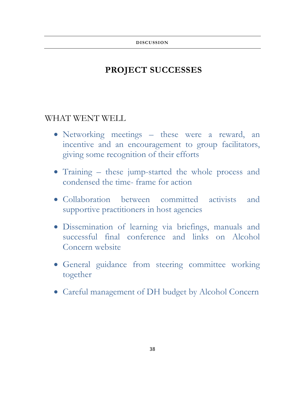# <span id="page-37-1"></span><span id="page-37-0"></span>**PROJECT SUCCESSES**

# <span id="page-37-2"></span>WHAT WENT WELL

- Networking meetings these were a reward, an incentive and an encouragement to group facilitators, giving some recognition of their efforts
- Training these jump-started the whole process and condensed the time- frame for action
- Collaboration between committed activists and supportive practitioners in host agencies
- Dissemination of learning via briefings, manuals and successful final conference and links on Alcohol Concern website
- General guidance from steering committee working together
- <span id="page-37-3"></span>Careful management of DH budget by Alcohol Concern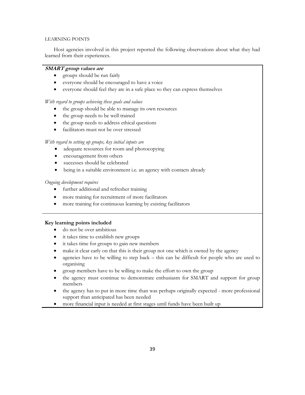#### LEARNING POINTS

Host agencies involved in this project reported the following observations about what they had learned from their experiences.

# **SMART group values are**

- groups should be run fairly
- everyone should be encouraged to have a voice
- everyone should feel they are in a safe place so they can express themselves

# *With regard to groups achieving these goals and values*

- the group should be able to manage its own resources
- the group needs to be well trained
- the group needs to address ethical questions
- facilitators must not be over stressed

#### *With regard to setting up groups, key initial inputs are*

- adequate resources for room and photocopying
- encouragement from others
- successes should be celebrated
- being in a suitable environment i.e. an agency with contacts already

# *Ongoing development requires*

- further additional and refresher training
- more training for recruitment of more facilitators
- more training for continuous learning by existing facilitators

# **Key learning points included**

- do not be over ambitious
- it takes time to establish new groups
- it takes time for groups to gain new members
- make it clear early on that this is their group not one which is owned by the agency
- agencies have to be willing to step back this can be difficult for people who are used to organising
- group members have to be willing to make the effort to own the group
- the agency must continue to demonstrate enthusiasm for SMART and support for group members
- the agency has to put in more time than was perhaps originally expected more professional support than anticipated has been needed
- more financial input is needed at first stages until funds have been built up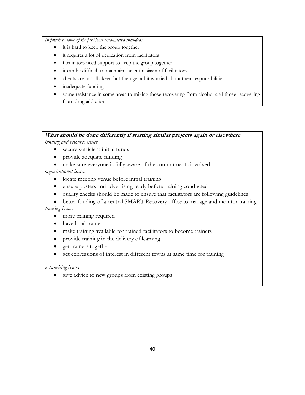# *In practice, some of the problems encountered included:*

- it is hard to keep the group together
- it requires a lot of dedication from facilitators
- facilitators need support to keep the group together
- it can be difficult to maintain the enthusiasm of facilitators
- clients are initially keen but then get a bit worried about their responsibilities
- inadequate funding
- some resistance in some areas to mixing those recovering from alcohol and those recovering from drug addiction.

# **What should be done differently if starting similar projects again or elsewhere** *funding and resource issues*

- secure sufficient initial funds
- provide adequate funding
- make sure everyone is fully aware of the commitments involved

*organisational issues*

- locate meeting venue before initial training
- ensure posters and advertising ready before training conducted
- quality checks should be made to ensure that facilitators are following guidelines
- better funding of a central SMART Recovery office to manage and monitor training *training issues*
	- more training required
	- have local trainers
	- make training available for trained facilitators to become trainers
	- provide training in the delivery of learning
	- get trainers together
	- get expressions of interest in different towns at same time for training

*networking issues*

<span id="page-39-0"></span>give advice to new groups from existing groups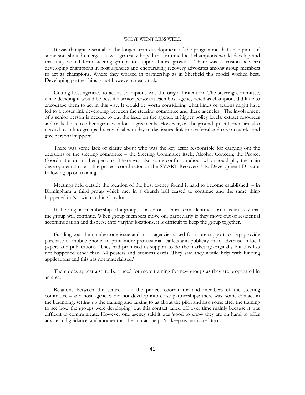#### WHAT WENT LESS WELL

It was thought essential to the longer term development of the programme that champions of some sort should emerge. It was generally hoped that in time local champions would develop and that they would form steering groups to support future growth. There was a tension between developing champions in host agencies and encouraging recovery advocates among group members to act as champions. Where they worked in partnership as in Sheffield this model worked best. Developing partnerships is not however an easy task.

Getting host agencies to act as champions was the original intention. The steering committee, while deciding it would be best if a senior person at each host agency acted as champion, did little to encourage them to act in this way. It would be worth considering what kinds of actions might have led to a closer link developing between the steering committee and these agencies. The involvement of a senior person is needed to put the issue on the agenda at higher policy levels, extract resources and make links to other agencies in local agreements. However, on the ground, practitioners are also needed to link to groups directly, deal with day to day issues, link into referral and care networks and give personal support.

There was some lack of clarity about who was the key actor responsible for carrying out the decisions of the steering committee – the Steering Committee itself, Alcohol Concern, the Project Coordinator or another person? There was also some confusion about who should play the main developmental role – the project coordinator or the SMART Recovery UK Development Director following up on training.

Meetings held outside the location of the host agency found it hard to become established – in Birmingham a third group which met in a church hall ceased to continue and the same thing happened in Norwich and in Croydon.

If the original membership of a group is based on a short-term identification, it is unlikely that the group will continue. When group members move on, particularly if they move out of residential accommodation and disperse into varying locations, it is difficult to keep the group together.

Funding was the number one issue and most agencies asked for more support to help provide purchase of mobile phone, to print more professional leaflets and publicity or to advertise in local papers and publications. "They had promised us support to do the marketing originally but this has not happened other than A4 posters and business cards. They said they would help with funding applications and this has not materialised."

There does appear also to be a need for more training for new groups as they are propagated in an area.

Relations between the centre – ie the project coordinator and members of the steering committee – and host agencies did not develop into close partnerships: there was "some contact in the beginning, setting up the training and talking to us about the pilot and also some after the training to see how the groups were developing" but this contact tailed off over time mainly because it was difficult to communicate. However one agency said it was "good to know they are on hand to offer advice and guidance' and another that the contact helps 'to keep us motivated too.'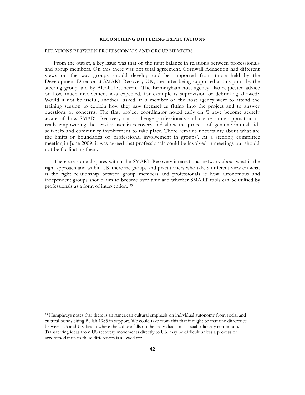#### **RECONCILING DIFFERING EXPECTATIONS**

#### <span id="page-41-1"></span><span id="page-41-0"></span>RELATIONS BETWEEN PROFESSIONALS AND GROUP MEMBERS

From the outset, a key issue was that of the right balance in relations between professionals and group members. On this there was not total agreement. Cornwall Addaction had different views on the way groups should develop and be supported from those held by the Development Director at SMART Recovery UK, the latter being supported at this point by the steering group and by Alcohol Concern. The Birmingham host agency also requested advice on how much involvement was expected, for example is supervision or debriefing allowed? Would it not be useful, another asked, if a member of the host agency were to attend the training session to explain how they saw themselves fitting into the project and to answer questions or concerns. The first project coordinator noted early on "I have become acutely aware of how SMART Recovery can challenge professionals and create some opposition to really empowering the service user in recovery and allow the process of genuine mutual aid, self-help and community involvement to take place. There remains uncertainty about what are the limits or boundaries of professional involvement in groups". At a steering committee meeting in June 2009, it was agreed that professionals could be involved in meetings but should not be facilitating them.

There are some disputes within the SMART Recovery international network about what is the right approach and within UK there are groups and practitioners who take a different view on what is the right relationship between group members and professionals ie how autonomous and independent groups should aim to become over time and whether SMART tools can be utilised by professionals as a form of intervention. <sup>25</sup>

 $\ddot{\phantom{a}}$ 

<sup>25</sup> Humphreys notes that there is an American cultural emphasis on individual autonomy from social and cultural bonds citing Bellah 1985 in support. We could take from this that it might be that one difference between US and UK lies in where the culture falls on the individualism – social solidarity continuum. Transferring ideas from US recovery movements directly to UK may be difficult unless a process of accommodation to these differences is allowed for.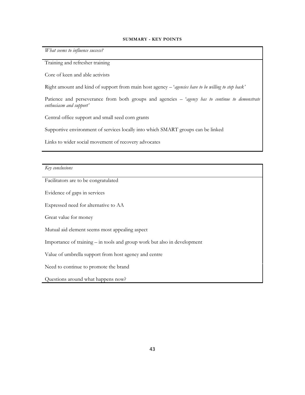#### **SUMMARY - KEY POINTS**

<span id="page-42-0"></span>*What seems to influence success?*

Training and refresher training

Core of keen and able activists

Right amount and kind of support from main host agency – "*agencies have to be willing to step back'*

Patience and perseverance from both groups and agencies – "*agency has to continue to demonstrate enthusiasm and support'* 

Central office support and small seed corn grants

Supportive environment of services locally into which SMART groups can be linked

Links to wider social movement of recovery advocates

*Key conclusions*

Facilitators are to be congratulated

Evidence of gaps in services

Expressed need for alternative to AA

Great value for money

Mutual aid element seems most appealing aspect

Importance of training – in tools and group work but also in development

Value of umbrella support from host agency and centre

Need to continue to promote the brand

Questions around what happens now?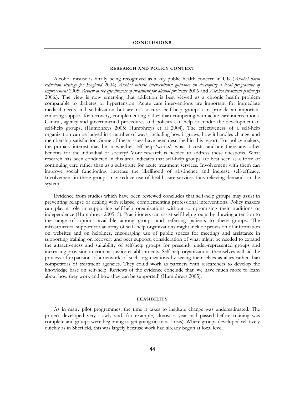#### **CONCLUSIONS**

#### **RESEARCH AND POLICY CONTEXT**

<span id="page-43-1"></span><span id="page-43-0"></span>Alcohol misuse is finally being recognized as a key public health concern in UK (*Alcohol harm reduction strategy for England* 2004; *Alcohol misuse interventions: guidance on developing a local programme of improvement* 2005; *Review of the effectiveness of treatment for alcohol problems* 2006 and *Alcohol treatment pathways*  2006*.*). The view is now emerging that addiction is best viewed as a chronic health problem comparable to diabetes or hypertension. Acute care interventions are important for immediate medical needs and stabilization but are not a cure. Self-help groups can provide an important enduring support for recovery, complementing rather than competing with acute care interventions. Clinical, agency and governmental procedures and policies can help or hinder the development of self-help groups, (Humphreys 2005; Humphreys et al 2004). The effectiveness of a self-help organization can be judged in a number of ways, including how it grows, how it handles change, and membership satisfaction. Some of these issues have been described in this report. For policy makers, the primary interest may be in whether self-help "works", what it costs, and are there any other benefits for the individual or society? More research is needed to address these questions. What research has been conducted in this area indicates that self-help groups are best seen as a form of continuing care rather than as a substitute for acute treatment services. Involvement with them can improve social functioning, increase the likelihood of abstinence and increase self-efficacy. Involvement in these groups may reduce use of health care services thus relieving demand on the system.

Evidence from studies which have been reviewed concludes that self-help groups may assist in preventing relapse or dealing with relapse, complementing professional interventions. Policy makers can play a role in supporting self-help organizations without compromising their traditions or independence (Humphreys 2005: 5). Practitioners can assist self-help groups by drawing attention to the range of options available among groups and referring patients to these groups. The infrastructural support for an array of self- help organizations might include provision of information on websites and on helplines, encouraging use of public spaces for meetings and assistance in supporting training on recovery and peer support, consideration of what might be needed to expand the attractiveness and suitability of self-help groups for presently under-represented groups and increasing provision in criminal justice establishments. Self-help organizations themselves will aid the process of expansion of a network of such organizations by seeing themselves as allies rather than competitors of treatment agencies. They could work as partners with researchers to develop the knowledge base on self-help. Reviews of the evidence conclude that "we have much more to learn about how they work and how they can be supported" (Humphreys 2005).

#### **FEASIBILITY**

<span id="page-43-2"></span>As in many pilot programmes, the time it takes to institute change was underestimated. The project developed very slowly and, for example, almost a year had passed before training was complete and groups were beginning to get going (in most areas). Where groups developed relatively quickly as in Sheffield, this was largely because work had already begun at local level.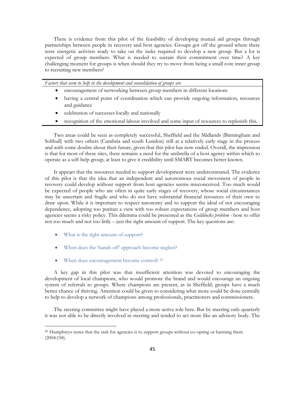There is evidence from this pilot of the feasibility of developing mutual aid groups through partnerships between people in recovery and host agencies. Groups got off the ground where there were energetic activists ready to take on the tasks required to develop a new group. But a lot is expected of group members. What is needed to sustain their commitment over time? A key challenging moment for groups is when should they try to move from being a small core inner group to recruiting new members?

*Factors that seem to help in the development and consolidation of groups are*

- encouragement of networking between group members in different locations
- having a central point of coordination which can provide ongoing information, resources and guidance
- celebration of successes locally and nationally
- recognition of the emotional labour involved and some input of resources to replenish this.

Two areas could be seen as completely successful, Sheffield and the Midlands (Birmingham and Solihull) with two others (Cumbria and south London) still at a relatively early stage in the process and with some doubts about their future, given that this pilot has now ended. Overall, the impression is that for most of these sites, there remains a need for the umbrella of a host agency within which to operate as a self-help group, at least to give it credibility until SMART becomes better known.

It appears that the resources needed to support development were underestimated. The evidence of this pilot is that the idea that an independent and autonomous social movement of people in recovery could develop without support from host agencies seems misconceived. Too much would be expected of people who are often in quite early stages of recovery, whose social circumstances may be uncertain and fragile and who do not have substantial financial resources of their own to draw upon. While it is important to respect autonomy and to support the ideal of not encouraging dependence, adopting too puritan a view with too robust expectations of group members and host agencies seems a risky policy. This dilemma could be presented as the *Goldilocks problem -* how to offer not too much and not too little – just the right amount of support. The key questions are:

• What is the right amount of support?

 $\ddot{\phantom{a}}$ 

- When does the 'hands off' approach become neglect?
- When does encouragement become control? <sup>26</sup>

A key gap in this pilot was that insufficient attention was devoted to encouraging the development of local champions, who would promote the brand and would encourage an ongoing system of referrals to groups. Where champions are present, as in Sheffield, groups have a much better chance of thriving. Attention could be given to considering what more could be done centrally to help to develop a network of champions among professionals, practitioners and commissioners.

The steering committee might have played a more active role here. But by meeting only quarterly it was not able to be directly involved in steering and tended to act more like an advisory body. The

<sup>&</sup>lt;sup>26</sup> Humphreys notes that the task for agencies is to support groups without co-opting or harming them (2004:158).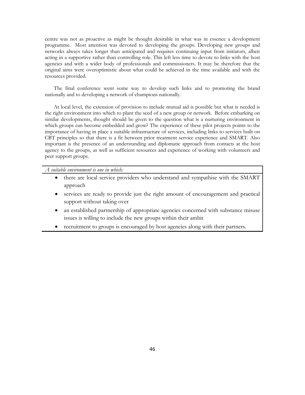centre was not as proactive as might be thought desirable in what was in essence a development programme. Most attention was devoted to developing the groups. Developing new groups and networks always takes longer than anticipated and requires continuing input from initiators, albeit acting in a supportive rather than controlling role. This left less time to devote to links with the host agencies and with a wider body of professionals and commissioners. It may be therefore that the original aims were overoptimistic about what could be achieved in the time available and with the resources provided.

The final conference went some way to develop such links and to promoting the brand nationally and to developing a network of champions nationally.

At local level, the extension of provision to include mutual aid is possible but what is needed is the right environment into which to plant the seed of a new group or network. Before embarking on similar developments, thought should be given to the question what is a nurturing environment in which groups can become embedded and grow? The experience of these pilot projects points to the importance of having in place a suitable infrastructure of services, including links to services built on CBT principles so that there is a fit between prior treatment service experience and SMART. Also important is the presence of an understanding and diplomatic approach from contacts at the host agency to the groups, as well as sufficient resources and experience of working with volunteers and peer support groups.

*A suitable environment is one in which:*

- there are local service providers who understand and sympathise with the SMART approach
- services are ready to provide just the right amount of encouragement and practical support without taking over
- an established partnership of appropriate agencies concerned with substance misuse issues is willing to include the new groups within their ambit
- <span id="page-45-0"></span>recruitment to groups is encouraged by host agencies along with their partners.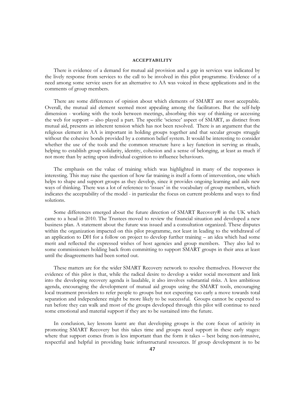#### **ACCEPTABILITY**

There is evidence of a demand for mutual aid provision and a gap in services was indicated by the lively response from services to the call to be involved in this pilot programme. Evidence of a need among some service users for an alternative to AA was voiced in these applications and in the comments of group members.

There are some differences of opinion about which elements of SMART are most acceptable. Overall, the mutual aid element seemed most appealing among the facilitators. But the self-help dimension - working with the tools between meetings, absorbing this way of thinking or accessing the web for support – also played a part. The specific "science" aspect of SMART, as distinct from mutual aid, presents an inherent tension which has not been resolved. There is an argument that the religious element in AA is important in holding groups together and that secular groups struggle without the cohesive bonds provided by a common belief system. It would be interesting to consider whether the use of the tools and the common structure have a key function in serving as rituals, helping to establish group solidarity, identity, cohesion and a sense of belonging, at least as much if not more than by acting upon individual cognition to influence behaviours.

The emphasis on the value of training which was highlighted in many of the responses is interesting. This may raise the question of how far training is itself a form of intervention, one which helps to shape and support groups as they develop, since it provides ongoing learning and aids new ways of thinking. There was a lot of reference to "issues" in the vocabulary of group members, which indicates the acceptability of the model - in particular the focus on current problems and ways to find solutions.

Some differences emerged about the future direction of SMART Recovery® in the UK which came to a head in 2010. The Trustees moved to review the financial situation and developed a new business plan. A statement about the future was issued and a consultation organized. These disputes within the organization impacted on this pilot programme, not least in leading to the withdrawal of an application to DH for a follow on project to develop further training – an idea which had some merit and reflected the expressed wishes of host agencies and group members. They also led to some commissioners holding back from committing to support SMART groups in their area at least until the disagreements had been sorted out.

These matters are for the wider SMART Recovery network to resolve themselves. However the evidence of this pilot is that, while the radical desire to develop a wider social movement and link into the developing recovery agenda is laudable, it also involves substantial risks. A less ambitious agenda, encouraging the development of mutual aid groups using the SMART tools, encouraging local treatment providers to refer people to groups but not expecting too early a move towards total separation and independence might be more likely to be successful. Groups cannot be expected to run before they can walk and most of the groups developed through this pilot will continue to need some emotional and material support if they are to be sustained into the future.

In conclusion, key lessons learnt are that developing groups is the core focus of activity in promoting SMART Recovery but this takes time and groups need support in these early stages: where that support comes from is less important than the form it takes – best being non-intrusive, respectful and helpful in providing basic infrastructural resources. If group development is to be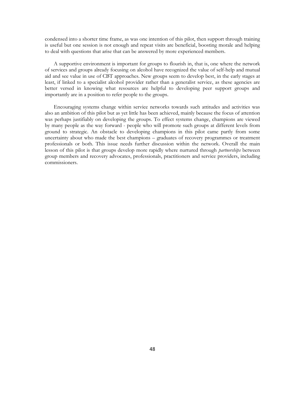condensed into a shorter time frame, as was one intention of this pilot, then support through training is useful but one session is not enough and repeat visits are beneficial, boosting morale and helping to deal with questions that arise that can be answered by more experienced members.

A supportive environment is important for groups to flourish in, that is, one where the network of services and groups already focusing on alcohol have recognized the value of self-help and mutual aid and see value in use of CBT approaches. New groups seem to develop best, in the early stages at least, if linked to a specialist alcohol provider rather than a generalist service, as these agencies are better versed in knowing what resources are helpful to developing peer support groups and importantly are in a position to refer people to the groups.

Encouraging systems change within service networks towards such attitudes and activities was also an ambition of this pilot but as yet little has been achieved, mainly because the focus of attention was perhaps justifiably on developing the groups. To effect systems change, champions are viewed by many people as the way forward - people who will promote such groups at different levels from ground to strategic. An obstacle to developing champions in this pilot came partly from some uncertainty about who made the best champions – graduates of recovery programmes or treatment professionals or both. This issue needs further discussion within the network. Overall the main lesson of this pilot is that groups develop more rapidly where nurtured through *partnerships* between group members and recovery advocates, professionals, practitioners and service providers, including commissioners.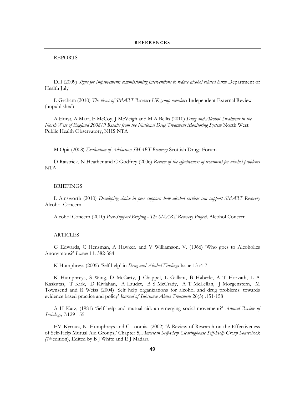#### **REFERENCES**

#### <span id="page-48-0"></span>REPORTS

DH (2009) *Signs for Improvement: commissioning interventions to reduce alcohol related harm* Department of Health July

L Graham (2010) *The views of SMART Recovery UK group members* Independent External Review (unpublished)

A Hurst, A Marr, E McCoy, J McVeigh and M A Bellis (2010) *Drug and Alcohol Treatment in the North West of England 2008/9 Results from the National Drug Treatment Monitoring System* North West Public Health Observatory, NHS NTA

M Opit (2008) *Evaluation of Addaction SMART Recovery* Scottish Drugs Forum

D Raistrick, N Heather and C Godfrey (2006) *Review of the effectiveness of treatment for alcohol problems* NTA

# BRIEFINGS

L Ainsworth (2010) *Developing choice in peer support: how alcohol services can support SMART Recovery*  Alcohol Concern

Alcohol Concern (2010) *Peer-Support Briefing - The SMART Recovery Project,* Alcohol Concern

#### ARTICLES

G Edwards, C Hensman, A Hawker. and V Williamson, V. (1966) "Who goes to Alcoholics Anonymous?" *Lancet* 11: 382-384

K Humphreys (2005) "Self help" in *Drug and Alcohol Findings* Issue 13 :4-7

K Humphreys, S Wing, D McCarty, J Chappel, L Gallant, B Haberle, A T Horvath, L A Kaskutas, T Kirk, D Kivlahan, A Laudet, B S McCrady, A T McLellan, J Morgenstern, M Townsend and R Weiss (2004) "Self help organizations for alcohol and drug problems: towards evidence based practice and policy" *Journal of Substance Abuse Treatment* 26(3) :151-158

A H Katz, (1981) "Self help and mutual aid: an emerging social movement?" *Annual Review of Sociology,* 7:129-155

EM Kyrouz, K Humphreys and C Loomis, (2002) "A Review of Research on the Effectiveness of Self-Help Mutual Aid Groups," Chapter 5, *American Self-Help Clearinghouse Self-Help Group Sourcebook (*7th edition), Edited by B J White and E J Madara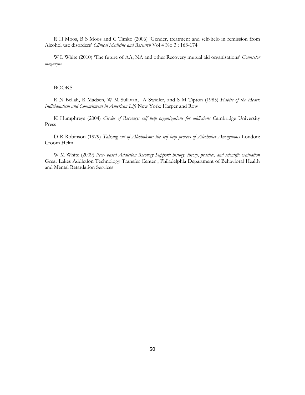R H Moos, B S Moos and C Timko (2006) "Gender, treatment and self-helo in remission from Alcohol use disorders" *Clinical Medicine and Research* Vol 4 No 3 : 163-174

W L White (2010) "The future of AA, NA and other Recovery mutual aid organisations" *Counselor magazine* 

# BOOKS

R N Bellah, R Madsen, W M Sullivan, A Swidler, and S M Tipton (1985) *Habits of the Heart: Individualism and Commitment in American Life* New York: Harper and Row

K Humphreys (2004) *Circles of Recovery: self help organizations for addictions* Cambridge University Press

D R Robinson (1979) *Talking out of Alcoholism: the self help process of Alcoholics Anonymous* London: Croom Helm

W M White (2009) *Peer- based Addiction Recovery Support: history, theory, practice, and scientific evaluation*  Great Lakes Addiction Technology Transfer Center , Philadelphia Department of Behavioral Health and Mental Retardation Services